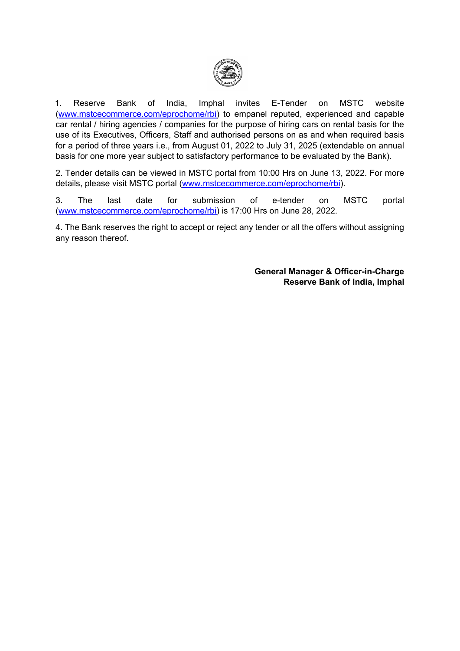

 1. Reserve Bank of India, Imphal invites E-Tender on MSTC website [\(www.mstcecommerce.com/eprochome/rbi\)](https://www.mstcecommerce.com/eprochome/rbi) to empanel reputed, experienced and capable car rental / hiring agencies / companies for the purpose of hiring cars on rental basis for the use of its Executives, Officers, Staff and authorised persons on as and when required basis for a period of three years i.e., from August 01, 2022 to July 31, 2025 (extendable on annual basis for one more year subject to satisfactory performance to be evaluated by the Bank).

2. Tender details can be viewed in MSTC portal from 10:00 Hrs on June 13, 2022. For more details, please visit MSTC portal [\(www.mstcecommerce.com/eprochome/rbi\)](https://www.mstcecommerce.com/eprochome/rbi).

3. The last date for submission of e-tender on MSTC portal [\(www.mstcecommerce.com/eprochome/rbi\)](https://www.mstcecommerce.com/eprochome/rbi) is 17:00 Hrs on June 28, 2022.

4. The Bank reserves the right to accept or reject any tender or all the offers without assigning any reason thereof.

> **General Manager & Officer-in-Charge Reserve Bank of India, Imphal**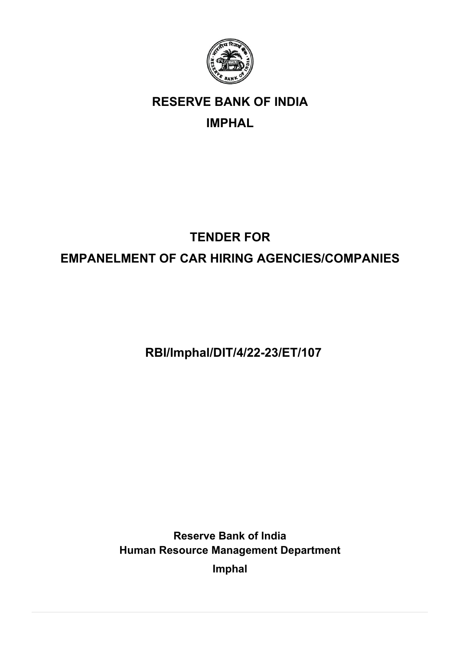

# **RESERVE BANK OF INDIA**

# **IMPHAL**

# **TENDER FOR EMPANELMENT OF CAR HIRING AGENCIES/COMPANIES**

**RBI/Imphal/DIT/4/22-23/ET/107**

**Reserve Bank of India Human Resource Management Department** 

**Imphal**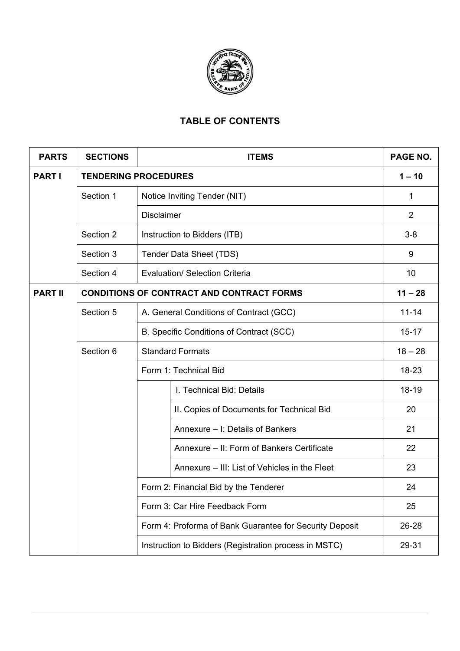

### **TABLE OF CONTENTS**

| <b>PARTS</b>   | <b>SECTIONS</b>             | <b>ITEMS</b>                                            | PAGE NO.       |
|----------------|-----------------------------|---------------------------------------------------------|----------------|
| <b>PARTI</b>   | <b>TENDERING PROCEDURES</b> |                                                         | $1 - 10$       |
|                | Section 1                   | Notice Inviting Tender (NIT)                            | 1              |
|                |                             | <b>Disclaimer</b>                                       | $\overline{2}$ |
|                | Section 2                   | Instruction to Bidders (ITB)                            | $3-8$          |
|                | Section 3                   | Tender Data Sheet (TDS)                                 | 9              |
|                | Section 4                   | <b>Evaluation/ Selection Criteria</b>                   | 10             |
| <b>PART II</b> |                             | <b>CONDITIONS OF CONTRACT AND CONTRACT FORMS</b>        | $11 - 28$      |
|                | Section 5                   | A. General Conditions of Contract (GCC)                 | $11 - 14$      |
|                |                             | B. Specific Conditions of Contract (SCC)                | $15 - 17$      |
|                | Section 6                   | <b>Standard Formats</b>                                 | $18 - 28$      |
|                |                             | Form 1: Technical Bid                                   | 18-23          |
|                |                             | I. Technical Bid: Details                               | 18-19          |
|                |                             | II. Copies of Documents for Technical Bid               | 20             |
|                |                             | Annexure - I: Details of Bankers                        | 21             |
|                |                             | Annexure – II: Form of Bankers Certificate              | 22             |
|                |                             | Annexure – III: List of Vehicles in the Fleet           | 23             |
|                |                             | Form 2: Financial Bid by the Tenderer                   | 24             |
|                |                             | Form 3: Car Hire Feedback Form                          | 25             |
|                |                             | Form 4: Proforma of Bank Guarantee for Security Deposit | 26-28          |
|                |                             | Instruction to Bidders (Registration process in MSTC)   | 29-31          |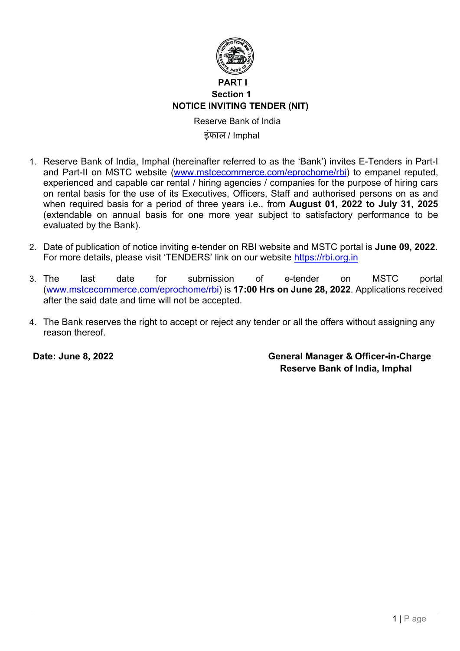

### **PART I Section 1 NOTICE INVITING TENDER (NIT)**

 Reserve Bank of India इंफाल / Imphal

- 1. Reserve Bank of India, Imphal (hereinafter referred to as the 'Bank') invites E-Tenders in Part-I and Part-II on MSTC website [\(www.mstcecommerce.com/eprochome/rbi\)](https://www.mstcecommerce.com/eprochome/rbi) to empanel reputed, experienced and capable car rental / hiring agencies / companies for the purpose of hiring cars on rental basis for the use of its Executives, Officers, Staff and authorised persons on as and when required basis for a period of three years i.e., from **August 01, 2022 to July 31, 2025** (extendable on annual basis for one more year subject to satisfactory performance to be evaluated by the Bank).
- 2. Date of publication of notice inviting e-tender on RBI website and MSTC portal is **June 09, 2022**. For more details, please visit 'TENDERS' link on our website [https://rbi.org.in](https://www.rbi.org.in/)
- 3. The last date for submission of e-tender on MSTC portal [\(www.mstcecommerce.com/eprochome/rbi\)](https://www.mstcecommerce.com/eprochome/rbi) is **17:00 Hrs on June 28, 2022**. Applications received after the said date and time will not be accepted.
- 4. The Bank reserves the right to accept or reject any tender or all the offers without assigning any reason thereof.

**Date: June 8, 2022 General Manager & Officer-in-Charge Reserve Bank of India, Imphal**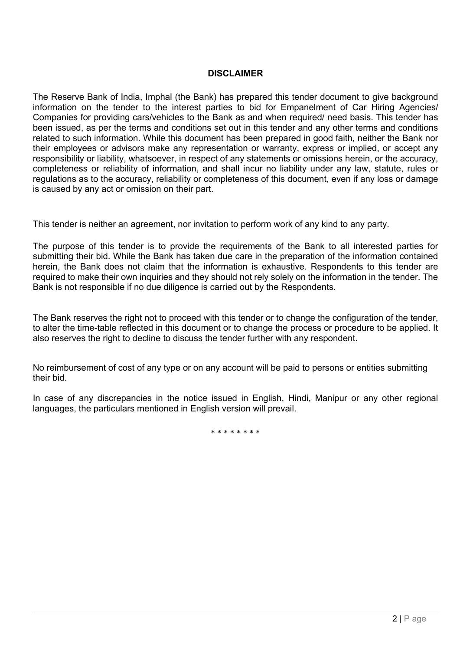#### **DISCLAIMER**

The Reserve Bank of India, Imphal (the Bank) has prepared this tender document to give background information on the tender to the interest parties to bid for Empanelment of Car Hiring Agencies/ Companies for providing cars/vehicles to the Bank as and when required/ need basis. This tender has been issued, as per the terms and conditions set out in this tender and any other terms and conditions related to such information. While this document has been prepared in good faith, neither the Bank nor their employees or advisors make any representation or warranty, express or implied, or accept any responsibility or liability, whatsoever, in respect of any statements or omissions herein, or the accuracy, completeness or reliability of information, and shall incur no liability under any law, statute, rules or regulations as to the accuracy, reliability or completeness of this document, even if any loss or damage is caused by any act or omission on their part.

This tender is neither an agreement, nor invitation to perform work of any kind to any party.

The purpose of this tender is to provide the requirements of the Bank to all interested parties for submitting their bid. While the Bank has taken due care in the preparation of the information contained herein, the Bank does not claim that the information is exhaustive. Respondents to this tender are required to make their own inquiries and they should not rely solely on the information in the tender. The Bank is not responsible if no due diligence is carried out by the Respondents.

The Bank reserves the right not to proceed with this tender or to change the configuration of the tender, to alter the time-table reflected in this document or to change the process or procedure to be applied. It also reserves the right to decline to discuss the tender further with any respondent.

No reimbursement of cost of any type or on any account will be paid to persons or entities submitting their bid.

In case of any discrepancies in the notice issued in English, Hindi, Manipur or any other regional languages, the particulars mentioned in English version will prevail.

\* \* \* \* \* \* \* \*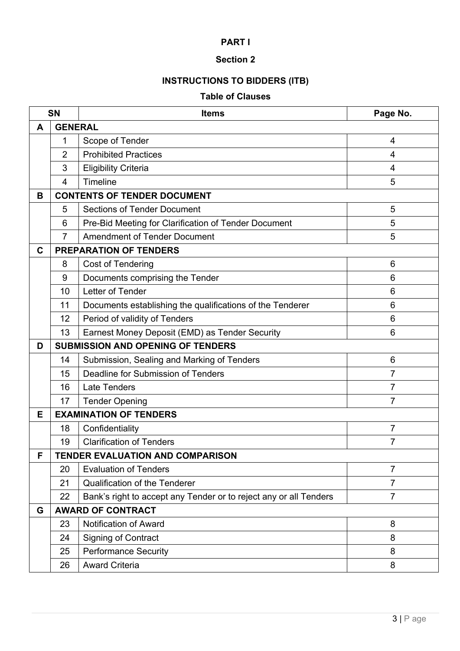### **Section 2**

# **INSTRUCTIONS TO BIDDERS (ITB)**

### **Table of Clauses**

| <b>SN</b> |                | <b>Items</b>                                                      | Page No.        |  |
|-----------|----------------|-------------------------------------------------------------------|-----------------|--|
| A         | <b>GENERAL</b> |                                                                   |                 |  |
|           | 1              | Scope of Tender                                                   | $\overline{4}$  |  |
|           | $\overline{2}$ | <b>Prohibited Practices</b>                                       | $\overline{4}$  |  |
|           | 3              | <b>Eligibility Criteria</b>                                       | 4               |  |
|           | $\overline{4}$ | Timeline                                                          | 5               |  |
| В         |                | <b>CONTENTS OF TENDER DOCUMENT</b>                                |                 |  |
|           | 5              | <b>Sections of Tender Document</b>                                | 5               |  |
|           | 6              | Pre-Bid Meeting for Clarification of Tender Document              | 5               |  |
|           | $\overline{7}$ | <b>Amendment of Tender Document</b>                               | 5               |  |
| C         |                | <b>PREPARATION OF TENDERS</b>                                     |                 |  |
|           | 8              | Cost of Tendering                                                 | 6               |  |
|           | 9              | Documents comprising the Tender                                   | 6               |  |
|           | 10             | Letter of Tender                                                  | 6               |  |
|           | 11             | Documents establishing the qualifications of the Tenderer         | 6               |  |
|           | 12             | Period of validity of Tenders                                     | $6\phantom{1}6$ |  |
|           | 13             | Earnest Money Deposit (EMD) as Tender Security                    | 6               |  |
| D         |                | <b>SUBMISSION AND OPENING OF TENDERS</b>                          |                 |  |
|           | 14             | Submission, Sealing and Marking of Tenders                        | 6               |  |
|           | 15             | Deadline for Submission of Tenders                                | $\overline{7}$  |  |
|           | 16             | <b>Late Tenders</b>                                               | $\overline{7}$  |  |
|           | 17             | <b>Tender Opening</b>                                             | $\overline{7}$  |  |
| Е         |                | <b>EXAMINATION OF TENDERS</b>                                     |                 |  |
|           | 18             | Confidentiality                                                   | $\overline{7}$  |  |
|           | 19             | <b>Clarification of Tenders</b><br>$\overline{7}$                 |                 |  |
| F         |                | <b>TENDER EVALUATION AND COMPARISON</b>                           |                 |  |
|           | 20             | <b>Evaluation of Tenders</b>                                      | $\overline{7}$  |  |
|           | 21             | <b>Qualification of the Tenderer</b>                              | $\overline{7}$  |  |
|           | 22             | Bank's right to accept any Tender or to reject any or all Tenders | $\overline{7}$  |  |
| G         |                | <b>AWARD OF CONTRACT</b>                                          |                 |  |
|           | 23             | Notification of Award                                             | 8               |  |
|           | 24             | <b>Signing of Contract</b>                                        | 8               |  |
|           | 25             | <b>Performance Security</b>                                       | 8               |  |
|           | 26             | <b>Award Criteria</b>                                             | 8               |  |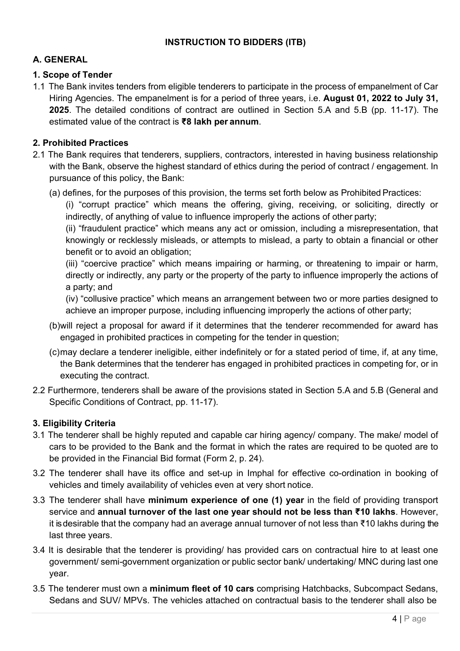### **INSTRUCTION TO BIDDERS (ITB)**

### **A. GENERAL**

#### **1. Scope of Tender**

1.1 The Bank invites tenders from eligible tenderers to participate in the process of empanelment of Car Hiring Agencies. The empanelment is for a period of three years, i.e. **August 01, 2022 to July 31, 2025**. The detailed conditions of contract are outlined in Section 5.A and 5.B (pp. 11-17). The estimated value of the contract is **₹8 lakh per annum**.

### **2. Prohibited Practices**

- 2.1 The Bank requires that tenderers, suppliers, contractors, interested in having business relationship with the Bank, observe the highest standard of ethics during the period of contract / engagement. In pursuance of this policy, the Bank:
	- (a) defines, for the purposes of this provision, the terms set forth below as Prohibited Practices:

(i) "corrupt practice" which means the offering, giving, receiving, or soliciting, directly or indirectly, of anything of value to influence improperly the actions of other party;

(ii) "fraudulent practice" which means any act or omission, including a misrepresentation, that knowingly or recklessly misleads, or attempts to mislead, a party to obtain a financial or other benefit or to avoid an obligation;

(iii) "coercive practice" which means impairing or harming, or threatening to impair or harm, directly or indirectly, any party or the property of the party to influence improperly the actions of a party; and

(iv) "collusive practice" which means an arrangement between two or more parties designed to achieve an improper purpose, including influencing improperly the actions of other party;

- (b)will reject a proposal for award if it determines that the tenderer recommended for award has engaged in prohibited practices in competing for the tender in question;
- (c)may declare a tenderer ineligible, either indefinitely or for a stated period of time, if, at any time, the Bank determines that the tenderer has engaged in prohibited practices in competing for, or in executing the contract.
- 2.2 Furthermore, tenderers shall be aware of the provisions stated in Section 5.A and 5.B (General and Specific Conditions of Contract, pp. 11-17).

### **3. Eligibility Criteria**

- 3.1 The tenderer shall be highly reputed and capable car hiring agency/ company. The make/ model of cars to be provided to the Bank and the format in which the rates are required to be quoted are to be provided in the Financial Bid format (Form 2, p. 24).
- 3.2 The tenderer shall have its office and set-up in Imphal for effective co-ordination in booking of vehicles and timely availability of vehicles even at very short notice.
- 3.3 The tenderer shall have **minimum experience of one (1) year** in the field of providing transport service and **annual turnover of the last one year should not be less than ₹10 lakhs**. However, it is desirable that the company had an average annual turnover of not less than ₹10 lakhs during the last three years.
- 3.4 It is desirable that the tenderer is providing/ has provided cars on contractual hire to at least one government/ semi-government organization or public sector bank/ undertaking/ MNC during last one year.
- 3.5 The tenderer must own a **minimum fleet of 10 cars** comprising Hatchbacks, Subcompact Sedans, Sedans and SUV/ MPVs. The vehicles attached on contractual basis to the tenderer shall also be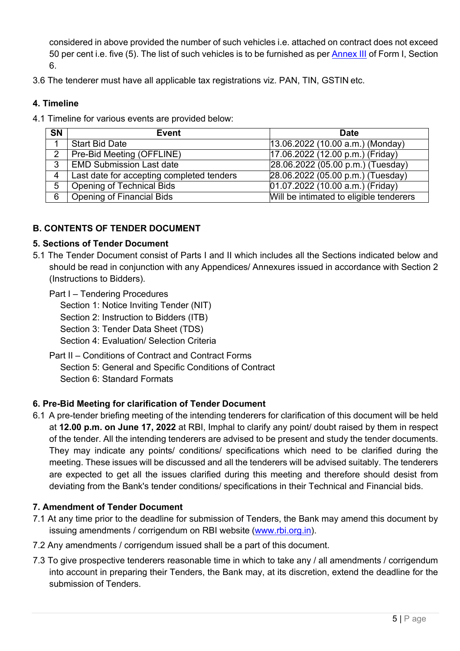considered in above provided the number of such vehicles i.e. attached on contract does not exceed 50 per cent i.e. five (5). The list of such vehicles is to be furnished as per [Annex III](#page-25-0) of Form I, Section 6.

3.6 The tenderer must have all applicable tax registrations viz. PAN, TIN, GSTIN etc.

### **4. Timeline**

4.1 Timeline for various events are provided below:

| <b>SN</b>     | <b>Event</b>                              | <b>Date</b>                             |
|---------------|-------------------------------------------|-----------------------------------------|
|               | <b>Start Bid Date</b>                     | $(13.06.2022(10.00 a.m.)$ (Monday)      |
| $\mathcal{P}$ | Pre-Bid Meeting (OFFLINE)                 | 17.06.2022 (12.00 p.m.) (Friday)        |
| 3             | <b>EMD Submission Last date</b>           | 28.06.2022 (05.00 p.m.) (Tuesday)       |
| 4             | Last date for accepting completed tenders | 28.06.2022 (05.00 p.m.) (Tuesday)       |
| 5             | Opening of Technical Bids                 | 01.07.2022 (10.00 a.m.) (Friday)        |
| 6             | <b>Opening of Financial Bids</b>          | Will be intimated to eligible tenderers |

### **B. CONTENTS OF TENDER DOCUMENT**

### **5. Sections of Tender Document**

5.1 The Tender Document consist of Parts I and II which includes all the Sections indicated below and should be read in conjunction with any Appendices/ Annexures issued in accordance with Section 2 (Instructions to Bidders).

Part I – Tendering Procedures

Section 1: Notice Inviting Tender (NIT)

Section 2: Instruction to Bidders (ITB)

- Section 3: Tender Data Sheet (TDS)
- Section 4: Evaluation/ Selection Criteria
- Part II Conditions of Contract and Contract Forms Section 5: General and Specific Conditions of Contract Section 6: Standard Formats

### **6. Pre-Bid Meeting for clarification of Tender Document**

6.1 A pre-tender briefing meeting of the intending tenderers for clarification of this document will be held at **12.00 p.m. on June 17, 2022** at RBI, Imphal to clarify any point/ doubt raised by them in respect of the tender. All the intending tenderers are advised to be present and study the tender documents. They may indicate any points/ conditions/ specifications which need to be clarified during the meeting. These issues will be discussed and all the tenderers will be advised suitably. The tenderers are expected to get all the issues clarified during this meeting and therefore should desist from deviating from the Bank's tender conditions/ specifications in their Technical and Financial bids.

### **7. Amendment of Tender Document**

- 7.1 At any time prior to the deadline for submission of Tenders, the Bank may amend this document by issuing amendments / corrigendum on RBI website [\(www.rbi.org.in\)](https://www.rbi.org.in/).
- 7.2 Any amendments / corrigendum issued shall be a part of this document.
- 7.3 To give prospective tenderers reasonable time in which to take any / all amendments / corrigendum into account in preparing their Tenders, the Bank may, at its discretion, extend the deadline for the submission of Tenders.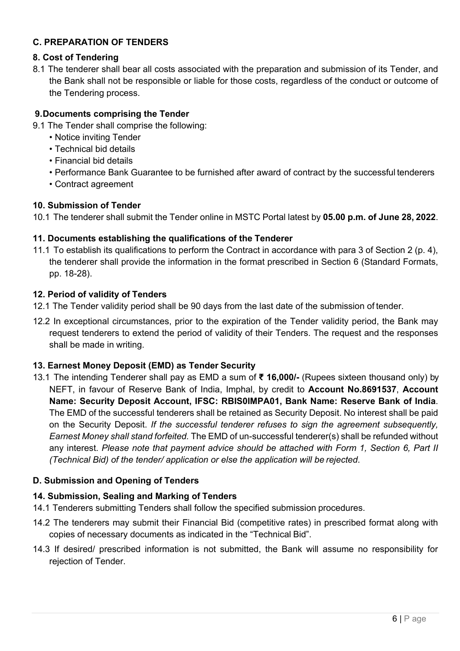### **C. PREPARATION OF TENDERS**

### **8. Cost of Tendering**

8.1 The tenderer shall bear all costs associated with the preparation and submission of its Tender, and the Bank shall not be responsible or liable for those costs, regardless of the conduct or outcome of the Tendering process.

### **9.Documents comprising the Tender**

- 9.1 The Tender shall comprise the following:
	- Notice inviting Tender
	- Technical bid details
	- Financial bid details
	- Performance Bank Guarantee to be furnished after award of contract by the successful tenderers
	- Contract agreement

#### **10. Submission of Tender**

10.1 The tenderer shall submit the Tender online in MSTC Portal latest by **05.00 p.m. of June 28, 2022**.

### **11. Documents establishing the qualifications of the Tenderer**

11.1 To establish its qualifications to perform the Contract in accordance with para 3 of Section 2 (p. 4), the tenderer shall provide the information in the format prescribed in Section 6 (Standard Formats, pp. 18-28).

### **12. Period of validity of Tenders**

- 12.1 The Tender validity period shall be 90 days from the last date of the submission of tender.
- 12.2 In exceptional circumstances, prior to the expiration of the Tender validity period, the Bank may request tenderers to extend the period of validity of their Tenders. The request and the responses shall be made in writing.

#### **13. Earnest Money Deposit (EMD) as Tender Security**

13.1 The intending Tenderer shall pay as EMD a sum of **₹ 16,000/-** (Rupees sixteen thousand only) by NEFT, in favour of Reserve Bank of India, Imphal, by credit to **Account No.8691537**, **Account Name: Security Deposit Account, IFSC: RBIS0IMPA01, Bank Name: Reserve Bank of India**. The EMD of the successful tenderers shall be retained as Security Deposit. No interest shall be paid on the Security Deposit. *If the successful tenderer refuses to sign the agreement subsequently, Earnest Money shall stand forfeited.* The EMD of un-successful tenderer(s) shall be refunded without any interest. *Please note that payment advice should be attached with Form 1, Section 6, Part II (Technical Bid) of the tender/ application or else the application will be rejected*.

### **D. Submission and Opening of Tenders**

### **14. Submission, Sealing and Marking of Tenders**

- 14.1 Tenderers submitting Tenders shall follow the specified submission procedures.
- 14.2 The tenderers may submit their Financial Bid (competitive rates) in prescribed format along with copies of necessary documents as indicated in the "Technical Bid".
- 14.3 If desired/ prescribed information is not submitted, the Bank will assume no responsibility for rejection of Tender.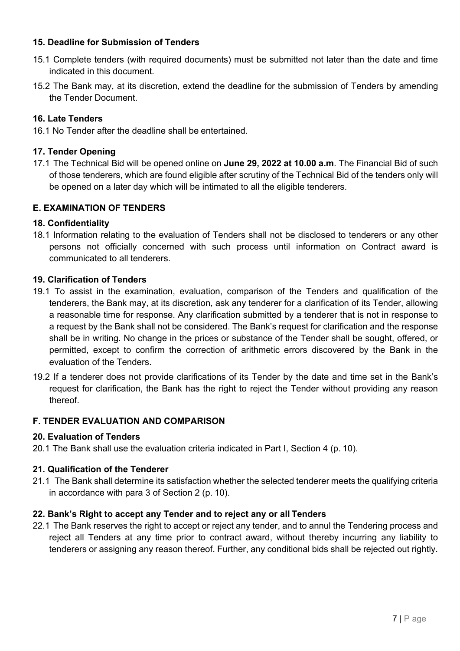#### **15. Deadline for Submission of Tenders**

- 15.1 Complete tenders (with required documents) must be submitted not later than the date and time indicated in this document.
- 15.2 The Bank may, at its discretion, extend the deadline for the submission of Tenders by amending the Tender Document.

### **16. Late Tenders**

16.1 No Tender after the deadline shall be entertained.

### **17. Tender Opening**

17.1 The Technical Bid will be opened online on **June 29, 2022 at 10.00 a.m**. The Financial Bid of such of those tenderers, which are found eligible after scrutiny of the Technical Bid of the tenders only will be opened on a later day which will be intimated to all the eligible tenderers.

### **E. EXAMINATION OF TENDERS**

### **18. Confidentiality**

18.1 Information relating to the evaluation of Tenders shall not be disclosed to tenderers or any other persons not officially concerned with such process until information on Contract award is communicated to all tenderers.

#### **19. Clarification of Tenders**

- 19.1 To assist in the examination, evaluation, comparison of the Tenders and qualification of the tenderers, the Bank may, at its discretion, ask any tenderer for a clarification of its Tender, allowing a reasonable time for response. Any clarification submitted by a tenderer that is not in response to a request by the Bank shall not be considered. The Bank's request for clarification and the response shall be in writing. No change in the prices or substance of the Tender shall be sought, offered, or permitted, except to confirm the correction of arithmetic errors discovered by the Bank in the evaluation of the Tenders.
- 19.2 If a tenderer does not provide clarifications of its Tender by the date and time set in the Bank's request for clarification, the Bank has the right to reject the Tender without providing any reason thereof.

#### **F. TENDER EVALUATION AND COMPARISON**

#### **20. Evaluation of Tenders**

20.1 The Bank shall use the evaluation criteria indicated in Part I, Section 4 (p. 10).

#### **21. Qualification of the Tenderer**

21.1 The Bank shall determine its satisfaction whether the selected tenderer meets the qualifying criteria in accordance with para 3 of Section 2 (p. 10).

#### **22. Bank's Right to accept any Tender and to reject any or all Tenders**

22.1 The Bank reserves the right to accept or reject any tender, and to annul the Tendering process and reject all Tenders at any time prior to contract award, without thereby incurring any liability to tenderers or assigning any reason thereof. Further, any conditional bids shall be rejected out rightly.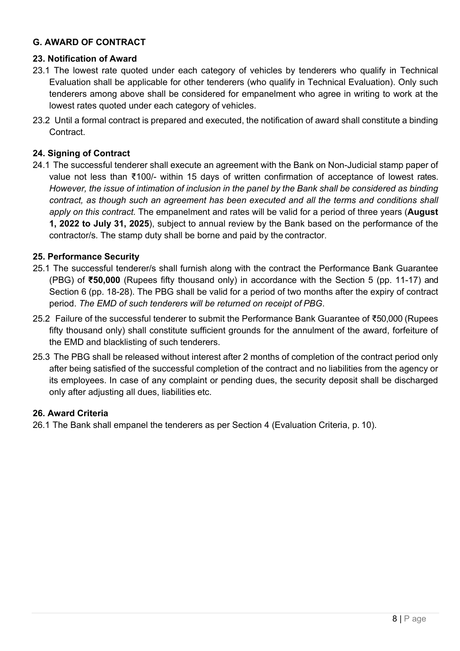### **G. AWARD OF CONTRACT**

### **23. Notification of Award**

- 23.1 The lowest rate quoted under each category of vehicles by tenderers who qualify in Technical Evaluation shall be applicable for other tenderers (who qualify in Technical Evaluation). Only such tenderers among above shall be considered for empanelment who agree in writing to work at the lowest rates quoted under each category of vehicles.
- 23.2 Until a formal contract is prepared and executed, the notification of award shall constitute a binding Contract.

### **24. Signing of Contract**

24.1 The successful tenderer shall execute an agreement with the Bank on Non-Judicial stamp paper of value not less than ₹100/- within 15 days of written confirmation of acceptance of lowest rates. *However, the issue of intimation of inclusion in the panel by the Bank shall be considered as binding contract, as though such an agreement has been executed and all the terms and conditions shall apply on this contract.* The empanelment and rates will be valid for a period of three years (**August 1, 2022 to July 31, 2025**), subject to annual review by the Bank based on the performance of the contractor/s. The stamp duty shall be borne and paid by the contractor.

### **25. Performance Security**

- 25.1 The successful tenderer/s shall furnish along with the contract the Performance Bank Guarantee (PBG) of **₹50,000** (Rupees fifty thousand only) in accordance with the Section 5 (pp. 11-17) and Section 6 (pp. 18-28). The PBG shall be valid for a period of two months after the expiry of contract period. *The EMD of such tenderers will be returned on receipt of PBG*.
- 25.2 Failure of the successful tenderer to submit the Performance Bank Guarantee of ₹50,000 (Rupees fifty thousand only) shall constitute sufficient grounds for the annulment of the award, forfeiture of the EMD and blacklisting of such tenderers.
- 25.3 The PBG shall be released without interest after 2 months of completion of the contract period only after being satisfied of the successful completion of the contract and no liabilities from the agency or its employees. In case of any complaint or pending dues, the security deposit shall be discharged only after adjusting all dues, liabilities etc.

#### **26. Award Criteria**

26.1 The Bank shall empanel the tenderers as per Section 4 (Evaluation Criteria, p. 10).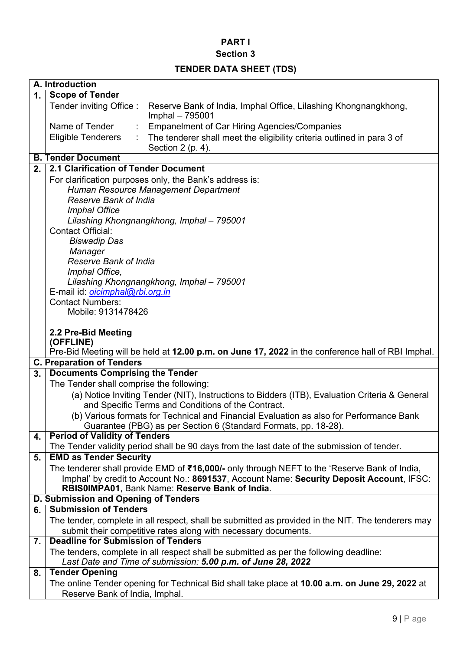### **Section 3**

# **TENDER DATA SHEET (TDS)**

|    | A. Introduction                                                                                                            |
|----|----------------------------------------------------------------------------------------------------------------------------|
| 1. | <b>Scope of Tender</b>                                                                                                     |
|    | Tender inviting Office:<br>Reserve Bank of India, Imphal Office, Lilashing Khongnangkhong,<br>Imphal - 795001              |
|    | Name of Tender<br><b>Empanelment of Car Hiring Agencies/Companies</b>                                                      |
|    | <b>Eligible Tenderers</b><br>The tenderer shall meet the eligibility criteria outlined in para 3 of<br>Section $2$ (p. 4). |
|    | <b>B. Tender Document</b>                                                                                                  |
| 2. | 2.1 Clarification of Tender Document                                                                                       |
|    | For clarification purposes only, the Bank's address is:                                                                    |
|    | Human Resource Management Department                                                                                       |
|    | <b>Reserve Bank of India</b>                                                                                               |
|    | <b>Imphal Office</b>                                                                                                       |
|    | Lilashing Khongnangkhong, Imphal - 795001                                                                                  |
|    | <b>Contact Official:</b>                                                                                                   |
|    | <b>Biswadip Das</b>                                                                                                        |
|    | Manager<br><b>Reserve Bank of India</b>                                                                                    |
|    | Imphal Office,                                                                                                             |
|    | Lilashing Khongnangkhong, Imphal - 795001                                                                                  |
|    | E-mail id: <i>oicimphal@rbi.org.in</i>                                                                                     |
|    | <b>Contact Numbers:</b>                                                                                                    |
|    | Mobile: 9131478426                                                                                                         |
|    |                                                                                                                            |
|    | 2.2 Pre-Bid Meeting<br>(OFFLINE)                                                                                           |
|    | Pre-Bid Meeting will be held at 12.00 p.m. on June 17, 2022 in the conference hall of RBI Imphal.                          |
|    | <b>C. Preparation of Tenders</b>                                                                                           |
| 3. | <b>Documents Comprising the Tender</b>                                                                                     |
|    | The Tender shall comprise the following:                                                                                   |
|    | (a) Notice Inviting Tender (NIT), Instructions to Bidders (ITB), Evaluation Criteria & General                             |
|    | and Specific Terms and Conditions of the Contract.                                                                         |
|    | (b) Various formats for Technical and Financial Evaluation as also for Performance Bank                                    |
| 4. | Guarantee (PBG) as per Section 6 (Standard Formats, pp. 18-28).<br><b>Period of Validity of Tenders</b>                    |
|    | The Tender validity period shall be 90 days from the last date of the submission of tender.                                |
| 5. | <b>EMD as Tender Security</b>                                                                                              |
|    | The tenderer shall provide EMD of ₹16,000/- only through NEFT to the 'Reserve Bank of India,                               |
|    | Imphal' by credit to Account No.: 8691537, Account Name: Security Deposit Account, IFSC:                                   |
|    | RBIS0IMPA01, Bank Name: Reserve Bank of India.                                                                             |
|    | D. Submission and Opening of Tenders                                                                                       |
| 6. | <b>Submission of Tenders</b>                                                                                               |
|    | The tender, complete in all respect, shall be submitted as provided in the NIT. The tenderers may                          |
|    | submit their competitive rates along with necessary documents.<br><b>Deadline for Submission of Tenders</b>                |
| 7. | The tenders, complete in all respect shall be submitted as per the following deadline:                                     |
|    | Last Date and Time of submission: 5.00 p.m. of June 28, 2022                                                               |
| 8. | <b>Tender Opening</b>                                                                                                      |
|    | The online Tender opening for Technical Bid shall take place at 10.00 a.m. on June 29, 2022 at                             |
|    | Reserve Bank of India, Imphal.                                                                                             |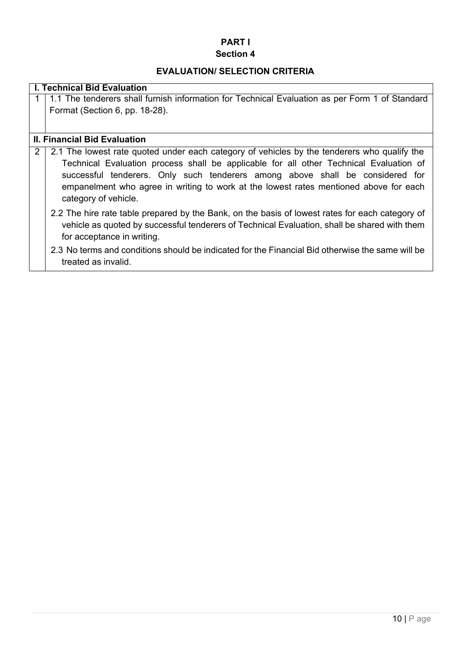#### **Section 4**

#### **EVALUATION/ SELECTION CRITERIA**

#### **I. Technical Bid Evaluation**

1 1.1 The tenderers shall furnish information for Technical Evaluation as per Form 1 of Standard Format (Section 6, pp. 18-28).

#### **II. Financial Bid Evaluation**

2 2.1 The lowest rate quoted under each category of vehicles by the tenderers who qualify the Technical Evaluation process shall be applicable for all other Technical Evaluation of successful tenderers. Only such tenderers among above shall be considered for empanelment who agree in writing to work at the lowest rates mentioned above for each category of vehicle.

- 2.2 The hire rate table prepared by the Bank, on the basis of lowest rates for each category of vehicle as quoted by successful tenderers of Technical Evaluation, shall be shared with them for acceptance in writing.
- 2.3 No terms and conditions should be indicated for the Financial Bid otherwise the same will be treated as invalid.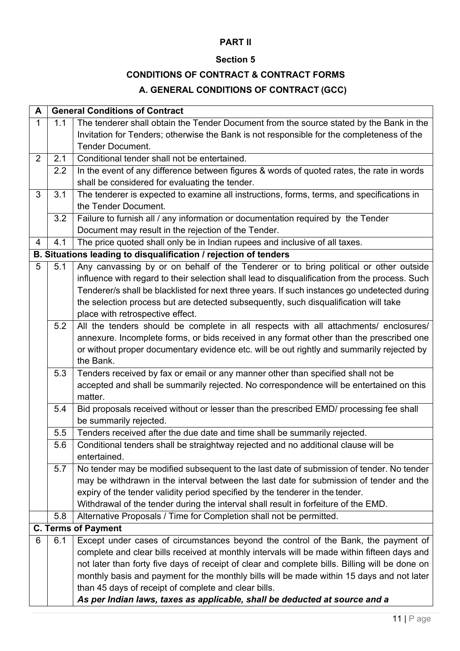### **Section 5**

### **CONDITIONS OF CONTRACT & CONTRACT FORMS**

### **A. GENERAL CONDITIONS OF CONTRACT (GCC)**

| A              |     | <b>General Conditions of Contract</b>                                                          |  |  |
|----------------|-----|------------------------------------------------------------------------------------------------|--|--|
| $\mathbf{1}$   | 1.1 | The tenderer shall obtain the Tender Document from the source stated by the Bank in the        |  |  |
|                |     | Invitation for Tenders; otherwise the Bank is not responsible for the completeness of the      |  |  |
|                |     | <b>Tender Document.</b>                                                                        |  |  |
| 2              | 2.1 | Conditional tender shall not be entertained.                                                   |  |  |
|                | 2.2 | In the event of any difference between figures & words of quoted rates, the rate in words      |  |  |
|                |     | shall be considered for evaluating the tender.                                                 |  |  |
| 3              | 3.1 | The tenderer is expected to examine all instructions, forms, terms, and specifications in      |  |  |
|                |     | the Tender Document.                                                                           |  |  |
|                | 3.2 | Failure to furnish all / any information or documentation required by the Tender               |  |  |
|                |     | Document may result in the rejection of the Tender.                                            |  |  |
| $\overline{4}$ | 4.1 | The price quoted shall only be in Indian rupees and inclusive of all taxes.                    |  |  |
|                |     | B. Situations leading to disqualification / rejection of tenders                               |  |  |
| 5              | 5.1 | Any canvassing by or on behalf of the Tenderer or to bring political or other outside          |  |  |
|                |     | influence with regard to their selection shall lead to disqualification from the process. Such |  |  |
|                |     | Tenderer/s shall be blacklisted for next three years. If such instances go undetected during   |  |  |
|                |     | the selection process but are detected subsequently, such disqualification will take           |  |  |
|                |     | place with retrospective effect.                                                               |  |  |
|                | 5.2 | All the tenders should be complete in all respects with all attachments/ enclosures/           |  |  |
|                |     | annexure. Incomplete forms, or bids received in any format other than the prescribed one       |  |  |
|                |     | or without proper documentary evidence etc. will be out rightly and summarily rejected by      |  |  |
|                |     | the Bank.                                                                                      |  |  |
|                | 5.3 | Tenders received by fax or email or any manner other than specified shall not be               |  |  |
|                |     | accepted and shall be summarily rejected. No correspondence will be entertained on this        |  |  |
|                |     | matter.                                                                                        |  |  |
|                | 5.4 | Bid proposals received without or lesser than the prescribed EMD/ processing fee shall         |  |  |
|                |     | be summarily rejected.                                                                         |  |  |
|                | 5.5 | Tenders received after the due date and time shall be summarily rejected.                      |  |  |
|                | 5.6 | Conditional tenders shall be straightway rejected and no additional clause will be             |  |  |
|                |     | entertained.                                                                                   |  |  |
|                | 5.7 | No tender may be modified subsequent to the last date of submission of tender. No tender       |  |  |
|                |     | may be withdrawn in the interval between the last date for submission of tender and the        |  |  |
|                |     | expiry of the tender validity period specified by the tenderer in the tender.                  |  |  |
|                |     | Withdrawal of the tender during the interval shall result in forfeiture of the EMD.            |  |  |
|                | 5.8 | Alternative Proposals / Time for Completion shall not be permitted.                            |  |  |
|                |     | <b>C. Terms of Payment</b>                                                                     |  |  |
| 6              | 6.1 | Except under cases of circumstances beyond the control of the Bank, the payment of             |  |  |
|                |     | complete and clear bills received at monthly intervals will be made within fifteen days and    |  |  |
|                |     | not later than forty five days of receipt of clear and complete bills. Billing will be done on |  |  |
|                |     | monthly basis and payment for the monthly bills will be made within 15 days and not later      |  |  |
|                |     | than 45 days of receipt of complete and clear bills.                                           |  |  |
|                |     | As per Indian laws, taxes as applicable, shall be deducted at source and a                     |  |  |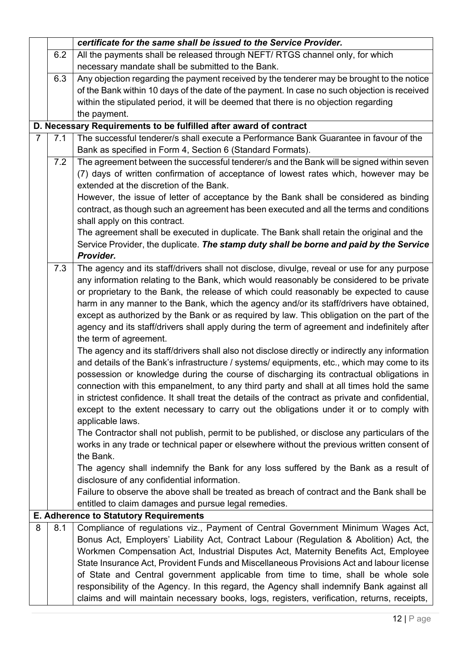|                |     | certificate for the same shall be issued to the Service Provider.                                |
|----------------|-----|--------------------------------------------------------------------------------------------------|
|                | 6.2 | All the payments shall be released through NEFT/ RTGS channel only, for which                    |
|                |     | necessary mandate shall be submitted to the Bank.                                                |
|                | 6.3 | Any objection regarding the payment received by the tenderer may be brought to the notice        |
|                |     | of the Bank within 10 days of the date of the payment. In case no such objection is received     |
|                |     | within the stipulated period, it will be deemed that there is no objection regarding             |
|                |     | the payment.                                                                                     |
|                |     | D. Necessary Requirements to be fulfilled after award of contract                                |
| $\overline{7}$ | 7.1 | The successful tenderer/s shall execute a Performance Bank Guarantee in favour of the            |
|                |     | Bank as specified in Form 4, Section 6 (Standard Formats).                                       |
|                | 7.2 | The agreement between the successful tenderer/s and the Bank will be signed within seven         |
|                |     | (7) days of written confirmation of acceptance of lowest rates which, however may be             |
|                |     | extended at the discretion of the Bank.                                                          |
|                |     | However, the issue of letter of acceptance by the Bank shall be considered as binding            |
|                |     | contract, as though such an agreement has been executed and all the terms and conditions         |
|                |     | shall apply on this contract.                                                                    |
|                |     | The agreement shall be executed in duplicate. The Bank shall retain the original and the         |
|                |     | Service Provider, the duplicate. The stamp duty shall be borne and paid by the Service           |
|                |     | Provider.                                                                                        |
|                | 7.3 | The agency and its staff/drivers shall not disclose, divulge, reveal or use for any purpose      |
|                |     | any information relating to the Bank, which would reasonably be considered to be private         |
|                |     | or proprietary to the Bank, the release of which could reasonably be expected to cause           |
|                |     | harm in any manner to the Bank, which the agency and/or its staff/drivers have obtained,         |
|                |     | except as authorized by the Bank or as required by law. This obligation on the part of the       |
|                |     | agency and its staff/drivers shall apply during the term of agreement and indefinitely after     |
|                |     | the term of agreement.                                                                           |
|                |     | The agency and its staff/drivers shall also not disclose directly or indirectly any information  |
|                |     | and details of the Bank's infrastructure / systems/ equipments, etc., which may come to its      |
|                |     | possession or knowledge during the course of discharging its contractual obligations in          |
|                |     | connection with this empanelment, to any third party and shall at all times hold the same        |
|                |     | in strictest confidence. It shall treat the details of the contract as private and confidential, |
|                |     | except to the extent necessary to carry out the obligations under it or to comply with           |
|                |     | applicable laws.                                                                                 |
|                |     | The Contractor shall not publish, permit to be published, or disclose any particulars of the     |
|                |     | works in any trade or technical paper or elsewhere without the previous written consent of       |
|                |     | the Bank.                                                                                        |
|                |     | The agency shall indemnify the Bank for any loss suffered by the Bank as a result of             |
|                |     | disclosure of any confidential information.                                                      |
|                |     | Failure to observe the above shall be treated as breach of contract and the Bank shall be        |
|                |     | entitled to claim damages and pursue legal remedies.                                             |
|                |     | <b>E. Adherence to Statutory Requirements</b>                                                    |
| 8              | 8.1 | Compliance of regulations viz., Payment of Central Government Minimum Wages Act,                 |
|                |     | Bonus Act, Employers' Liability Act, Contract Labour (Regulation & Abolition) Act, the           |
|                |     | Workmen Compensation Act, Industrial Disputes Act, Maternity Benefits Act, Employee              |
|                |     | State Insurance Act, Provident Funds and Miscellaneous Provisions Act and labour license         |
|                |     | of State and Central government applicable from time to time, shall be whole sole                |
|                |     | responsibility of the Agency. In this regard, the Agency shall indemnify Bank against all        |
|                |     | claims and will maintain necessary books, logs, registers, verification, returns, receipts,      |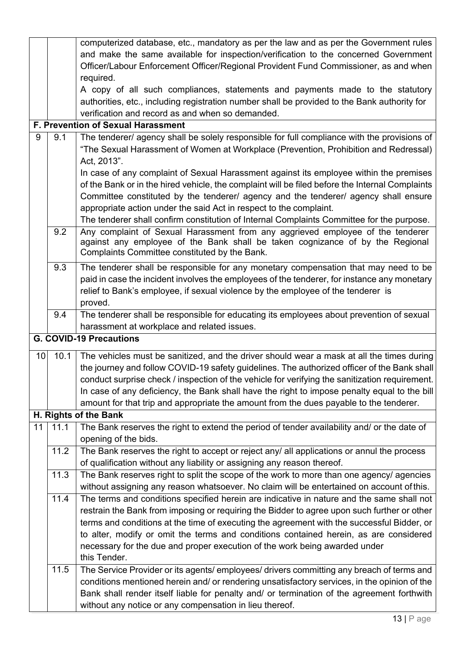|    |      | computerized database, etc., mandatory as per the law and as per the Government rules           |
|----|------|-------------------------------------------------------------------------------------------------|
|    |      | and make the same available for inspection/verification to the concerned Government             |
|    |      | Officer/Labour Enforcement Officer/Regional Provident Fund Commissioner, as and when            |
|    |      | required.                                                                                       |
|    |      | A copy of all such compliances, statements and payments made to the statutory                   |
|    |      | authorities, etc., including registration number shall be provided to the Bank authority for    |
|    |      | verification and record as and when so demanded.                                                |
|    |      | <b>F. Prevention of Sexual Harassment</b>                                                       |
| 9  | 9.1  | The tenderer/ agency shall be solely responsible for full compliance with the provisions of     |
|    |      | "The Sexual Harassment of Women at Workplace (Prevention, Prohibition and Redressal)            |
|    |      | Act, 2013".                                                                                     |
|    |      | In case of any complaint of Sexual Harassment against its employee within the premises          |
|    |      | of the Bank or in the hired vehicle, the complaint will be filed before the Internal Complaints |
|    |      | Committee constituted by the tenderer/ agency and the tenderer/ agency shall ensure             |
|    |      | appropriate action under the said Act in respect to the complaint.                              |
|    |      | The tenderer shall confirm constitution of Internal Complaints Committee for the purpose.       |
|    | 9.2  | Any complaint of Sexual Harassment from any aggrieved employee of the tenderer                  |
|    |      | against any employee of the Bank shall be taken cognizance of by the Regional                   |
|    |      | Complaints Committee constituted by the Bank.                                                   |
|    | 9.3  | The tenderer shall be responsible for any monetary compensation that may need to be             |
|    |      | paid in case the incident involves the employees of the tenderer, for instance any monetary     |
|    |      | relief to Bank's employee, if sexual violence by the employee of the tenderer is                |
|    |      | proved.                                                                                         |
|    | 9.4  | The tenderer shall be responsible for educating its employees about prevention of sexual        |
|    |      | harassment at workplace and related issues.                                                     |
|    |      | <b>G. COVID-19 Precautions</b>                                                                  |
| 10 | 10.1 | The vehicles must be sanitized, and the driver should wear a mask at all the times during       |
|    |      | the journey and follow COVID-19 safety guidelines. The authorized officer of the Bank shall     |
|    |      | conduct surprise check / inspection of the vehicle for verifying the sanitization requirement.  |
|    |      | In case of any deficiency, the Bank shall have the right to impose penalty equal to the bill    |
|    |      | amount for that trip and appropriate the amount from the dues payable to the tenderer.          |
|    |      | H. Rights of the Bank                                                                           |
| 11 | 11.1 | The Bank reserves the right to extend the period of tender availability and/ or the date of     |
|    |      | opening of the bids.                                                                            |
|    | 11.2 | The Bank reserves the right to accept or reject any/ all applications or annul the process      |
|    |      | of qualification without any liability or assigning any reason thereof.                         |
|    | 11.3 | The Bank reserves right to split the scope of the work to more than one agency/ agencies        |
|    |      | without assigning any reason whatsoever. No claim will be entertained on account of this.       |
|    | 11.4 | The terms and conditions specified herein are indicative in nature and the same shall not       |
|    |      | restrain the Bank from imposing or requiring the Bidder to agree upon such further or other     |
|    |      | terms and conditions at the time of executing the agreement with the successful Bidder, or      |
|    |      | to alter, modify or omit the terms and conditions contained herein, as are considered           |
|    |      | necessary for the due and proper execution of the work being awarded under                      |
|    |      | this Tender.                                                                                    |
|    | 11.5 | The Service Provider or its agents/ employees/ drivers committing any breach of terms and       |
|    |      | conditions mentioned herein and/ or rendering unsatisfactory services, in the opinion of the    |
|    |      | Bank shall render itself liable for penalty and/ or termination of the agreement forthwith      |
|    |      | without any notice or any compensation in lieu thereof.                                         |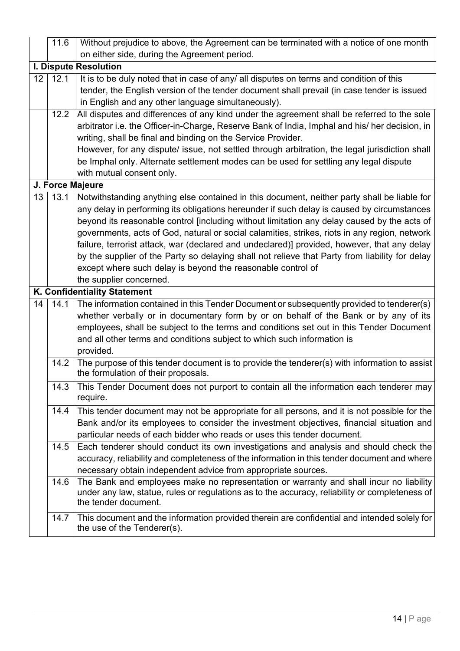|    | 11.6                  | Without prejudice to above, the Agreement can be terminated with a notice of one month                                              |  |  |  |
|----|-----------------------|-------------------------------------------------------------------------------------------------------------------------------------|--|--|--|
|    |                       | on either side, during the Agreement period.                                                                                        |  |  |  |
|    | I. Dispute Resolution |                                                                                                                                     |  |  |  |
| 12 | 12.1                  | It is to be duly noted that in case of any/ all disputes on terms and condition of this                                             |  |  |  |
|    |                       | tender, the English version of the tender document shall prevail (in case tender is issued                                          |  |  |  |
|    |                       | in English and any other language simultaneously).                                                                                  |  |  |  |
|    | 12.2                  | All disputes and differences of any kind under the agreement shall be referred to the sole                                          |  |  |  |
|    |                       | arbitrator i.e. the Officer-in-Charge, Reserve Bank of India, Imphal and his/ her decision, in                                      |  |  |  |
|    |                       | writing, shall be final and binding on the Service Provider.                                                                        |  |  |  |
|    |                       | However, for any dispute/ issue, not settled through arbitration, the legal jurisdiction shall                                      |  |  |  |
|    |                       | be Imphal only. Alternate settlement modes can be used for settling any legal dispute                                               |  |  |  |
|    |                       | with mutual consent only.                                                                                                           |  |  |  |
|    |                       | J. Force Majeure                                                                                                                    |  |  |  |
| 13 | 13.1                  | Notwithstanding anything else contained in this document, neither party shall be liable for                                         |  |  |  |
|    |                       | any delay in performing its obligations hereunder if such delay is caused by circumstances                                          |  |  |  |
|    |                       | beyond its reasonable control [including without limitation any delay caused by the acts of                                         |  |  |  |
|    |                       | governments, acts of God, natural or social calamities, strikes, riots in any region, network                                       |  |  |  |
|    |                       | failure, terrorist attack, war (declared and undeclared)] provided, however, that any delay                                         |  |  |  |
|    |                       | by the supplier of the Party so delaying shall not relieve that Party from liability for delay                                      |  |  |  |
|    |                       | except where such delay is beyond the reasonable control of                                                                         |  |  |  |
|    |                       | the supplier concerned.                                                                                                             |  |  |  |
|    |                       | K. Confidentiality Statement                                                                                                        |  |  |  |
| 14 | 14.1                  | The information contained in this Tender Document or subsequently provided to tenderer(s)                                           |  |  |  |
|    |                       | whether verbally or in documentary form by or on behalf of the Bank or by any of its                                                |  |  |  |
|    |                       | employees, shall be subject to the terms and conditions set out in this Tender Document                                             |  |  |  |
|    |                       | and all other terms and conditions subject to which such information is                                                             |  |  |  |
|    |                       | provided.                                                                                                                           |  |  |  |
|    | 14.2                  | The purpose of this tender document is to provide the tenderer(s) with information to assist<br>the formulation of their proposals. |  |  |  |
|    | 14.3                  | This Tender Document does not purport to contain all the information each tenderer may<br>require.                                  |  |  |  |
|    | 14.4                  | This tender document may not be appropriate for all persons, and it is not possible for the                                         |  |  |  |
|    |                       | Bank and/or its employees to consider the investment objectives, financial situation and                                            |  |  |  |
|    |                       | particular needs of each bidder who reads or uses this tender document.                                                             |  |  |  |
|    | 14.5                  | Each tenderer should conduct its own investigations and analysis and should check the                                               |  |  |  |
|    |                       | accuracy, reliability and completeness of the information in this tender document and where                                         |  |  |  |
|    |                       | necessary obtain independent advice from appropriate sources.                                                                       |  |  |  |
|    | 14.6                  | The Bank and employees make no representation or warranty and shall incur no liability                                              |  |  |  |
|    |                       | under any law, statue, rules or regulations as to the accuracy, reliability or completeness of                                      |  |  |  |
|    |                       | the tender document.                                                                                                                |  |  |  |
|    | 14.7                  | This document and the information provided therein are confidential and intended solely for<br>the use of the Tenderer(s).          |  |  |  |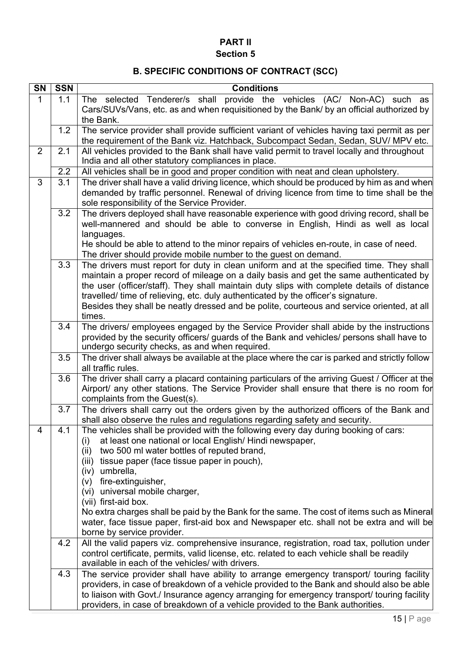### **PART II Section 5**

# **B. SPECIFIC CONDITIONS OF CONTRACT (SCC)**

| <b>SN</b>      | <b>SSN</b> | <b>Conditions</b>                                                                                                                                                                        |  |  |
|----------------|------------|------------------------------------------------------------------------------------------------------------------------------------------------------------------------------------------|--|--|
| 1              | 1.1        | The selected Tenderer/s shall provide the vehicles (AC/ Non-AC) such as                                                                                                                  |  |  |
|                |            | Cars/SUVs/Vans, etc. as and when requisitioned by the Bank/ by an official authorized by                                                                                                 |  |  |
|                |            | the Bank.                                                                                                                                                                                |  |  |
|                | 1.2        | The service provider shall provide sufficient variant of vehicles having taxi permit as per<br>the requirement of the Bank viz. Hatchback, Subcompact Sedan, Sedan, SUV/MPV etc.         |  |  |
| $\overline{2}$ | 2.1        | All vehicles provided to the Bank shall have valid permit to travel locally and throughout                                                                                               |  |  |
|                |            | India and all other statutory compliances in place.                                                                                                                                      |  |  |
|                | 2.2        | All vehicles shall be in good and proper condition with neat and clean upholstery.                                                                                                       |  |  |
| 3              | 3.1        | The driver shall have a valid driving licence, which should be produced by him as and when                                                                                               |  |  |
|                |            | demanded by traffic personnel. Renewal of driving licence from time to time shall be the                                                                                                 |  |  |
|                |            | sole responsibility of the Service Provider.                                                                                                                                             |  |  |
|                | 3.2        | The drivers deployed shall have reasonable experience with good driving record, shall be<br>well-mannered and should be able to converse in English, Hindi as well as local              |  |  |
|                |            | languages.                                                                                                                                                                               |  |  |
|                |            | He should be able to attend to the minor repairs of vehicles en-route, in case of need.                                                                                                  |  |  |
|                |            | The driver should provide mobile number to the guest on demand.                                                                                                                          |  |  |
|                | 3.3        | The drivers must report for duty in clean uniform and at the specified time. They shall                                                                                                  |  |  |
|                |            | maintain a proper record of mileage on a daily basis and get the same authenticated by                                                                                                   |  |  |
|                |            | the user (officer/staff). They shall maintain duty slips with complete details of distance<br>travelled/ time of relieving, etc. duly authenticated by the officer's signature.          |  |  |
|                |            | Besides they shall be neatly dressed and be polite, courteous and service oriented, at all                                                                                               |  |  |
|                |            | times.                                                                                                                                                                                   |  |  |
|                | 3.4        | The drivers/ employees engaged by the Service Provider shall abide by the instructions                                                                                                   |  |  |
|                |            | provided by the security officers/ guards of the Bank and vehicles/ persons shall have to                                                                                                |  |  |
|                | 3.5        | undergo security checks, as and when required.<br>The driver shall always be available at the place where the car is parked and strictly follow                                          |  |  |
|                |            | all traffic rules.                                                                                                                                                                       |  |  |
|                | 3.6        | The driver shall carry a placard containing particulars of the arriving Guest / Officer at the                                                                                           |  |  |
|                |            | Airport/ any other stations. The Service Provider shall ensure that there is no room for                                                                                                 |  |  |
|                |            | complaints from the Guest(s).                                                                                                                                                            |  |  |
|                | 3.7        | The drivers shall carry out the orders given by the authorized officers of the Bank and<br>shall also observe the rules and regulations regarding safety and security.                   |  |  |
| 4              | 4.1        | The vehicles shall be provided with the following every day during booking of cars:                                                                                                      |  |  |
|                |            | at least one national or local English/Hindi newspaper,<br>(i)                                                                                                                           |  |  |
|                |            | two 500 ml water bottles of reputed brand,<br>(ii)                                                                                                                                       |  |  |
|                |            | tissue paper (face tissue paper in pouch),<br>(iii)                                                                                                                                      |  |  |
|                |            | (iv) umbrella,                                                                                                                                                                           |  |  |
|                |            | fire-extinguisher,<br>(v)<br>(vi) universal mobile charger,                                                                                                                              |  |  |
|                |            | (vii) first-aid box.                                                                                                                                                                     |  |  |
|                |            | No extra charges shall be paid by the Bank for the same. The cost of items such as Mineral                                                                                               |  |  |
|                |            | water, face tissue paper, first-aid box and Newspaper etc. shall not be extra and will be                                                                                                |  |  |
|                |            | borne by service provider.                                                                                                                                                               |  |  |
|                | 4.2        | All the valid papers viz. comprehensive insurance, registration, road tax, pollution under<br>control certificate, permits, valid license, etc. related to each vehicle shall be readily |  |  |
|                |            | available in each of the vehicles/ with drivers.                                                                                                                                         |  |  |
|                | 4.3        | The service provider shall have ability to arrange emergency transport/ touring facility                                                                                                 |  |  |
|                |            | providers, in case of breakdown of a vehicle provided to the Bank and should also be able                                                                                                |  |  |
|                |            | to liaison with Govt./ Insurance agency arranging for emergency transport/ touring facility                                                                                              |  |  |
|                |            | providers, in case of breakdown of a vehicle provided to the Bank authorities.                                                                                                           |  |  |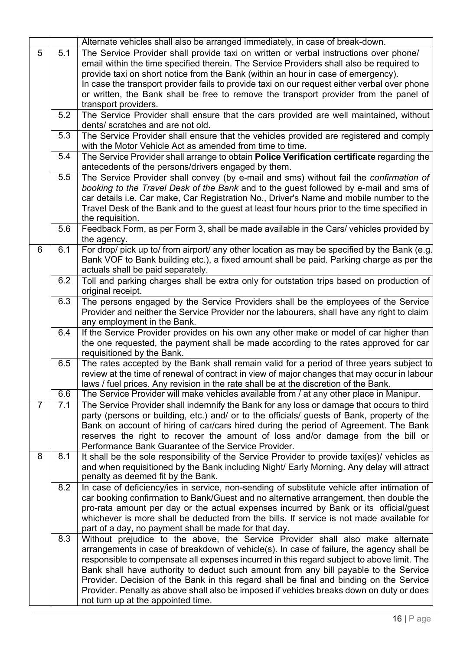|                |     | Alternate vehicles shall also be arranged immediately, in case of break-down.                                                                                           |  |
|----------------|-----|-------------------------------------------------------------------------------------------------------------------------------------------------------------------------|--|
| 5              | 5.1 | The Service Provider shall provide taxi on written or verbal instructions over phone/                                                                                   |  |
|                |     | email within the time specified therein. The Service Providers shall also be required to                                                                                |  |
|                |     | provide taxi on short notice from the Bank (within an hour in case of emergency).                                                                                       |  |
|                |     | In case the transport provider fails to provide taxi on our request either verbal over phone                                                                            |  |
|                |     | or written, the Bank shall be free to remove the transport provider from the panel of                                                                                   |  |
|                |     | transport providers.                                                                                                                                                    |  |
|                | 5.2 | The Service Provider shall ensure that the cars provided are well maintained, without                                                                                   |  |
|                |     | dents/ scratches and are not old.                                                                                                                                       |  |
|                | 5.3 | The Service Provider shall ensure that the vehicles provided are registered and comply                                                                                  |  |
|                |     | with the Motor Vehicle Act as amended from time to time.                                                                                                                |  |
|                | 5.4 | The Service Provider shall arrange to obtain Police Verification certificate regarding the                                                                              |  |
|                |     | antecedents of the persons/drivers engaged by them.                                                                                                                     |  |
|                | 5.5 | The Service Provider shall convey (by e-mail and sms) without fail the confirmation of                                                                                  |  |
|                |     | booking to the Travel Desk of the Bank and to the guest followed by e-mail and sms of                                                                                   |  |
|                |     | car details i.e. Car make, Car Registration No., Driver's Name and mobile number to the                                                                                 |  |
|                |     | Travel Desk of the Bank and to the guest at least four hours prior to the time specified in                                                                             |  |
|                |     | the requisition.                                                                                                                                                        |  |
|                | 5.6 | Feedback Form, as per Form 3, shall be made available in the Cars/ vehicles provided by                                                                                 |  |
|                |     | the agency.                                                                                                                                                             |  |
| 6              | 6.1 | For drop/ pick up to/ from airport/ any other location as may be specified by the Bank (e.g.                                                                            |  |
|                |     | Bank VOF to Bank building etc.), a fixed amount shall be paid. Parking charge as per the                                                                                |  |
|                |     | actuals shall be paid separately.                                                                                                                                       |  |
|                | 6.2 | Toll and parking charges shall be extra only for outstation trips based on production of                                                                                |  |
|                |     | original receipt.                                                                                                                                                       |  |
|                | 6.3 | The persons engaged by the Service Providers shall be the employees of the Service                                                                                      |  |
|                |     | Provider and neither the Service Provider nor the labourers, shall have any right to claim                                                                              |  |
|                |     | any employment in the Bank.                                                                                                                                             |  |
|                | 6.4 | If the Service Provider provides on his own any other make or model of car higher than                                                                                  |  |
|                |     | the one requested, the payment shall be made according to the rates approved for car                                                                                    |  |
|                |     | requisitioned by the Bank.                                                                                                                                              |  |
|                | 6.5 | The rates accepted by the Bank shall remain valid for a period of three years subject to                                                                                |  |
|                |     | review at the time of renewal of contract in view of major changes that may occur in labour                                                                             |  |
|                | 6.6 | laws / fuel prices. Any revision in the rate shall be at the discretion of the Bank.                                                                                    |  |
|                |     | The Service Provider will make vehicles available from / at any other place in Manipur.                                                                                 |  |
| $\overline{7}$ | 7.1 | The Service Provider shall indemnify the Bank for any loss or damage that occurs to third                                                                               |  |
|                |     | party (persons or building, etc.) and/ or to the officials/ guests of Bank, property of the                                                                             |  |
|                |     | Bank on account of hiring of car/cars hired during the period of Agreement. The Bank<br>reserves the right to recover the amount of loss and/or damage from the bill or |  |
|                |     | Performance Bank Guarantee of the Service Provider.                                                                                                                     |  |
| 8              | 8.1 | It shall be the sole responsibility of the Service Provider to provide taxi(es)/ vehicles as                                                                            |  |
|                |     | and when requisitioned by the Bank including Night/ Early Morning. Any delay will attract                                                                               |  |
|                |     | penalty as deemed fit by the Bank.                                                                                                                                      |  |
|                | 8.2 | In case of deficiency/ies in service, non-sending of substitute vehicle after intimation of                                                                             |  |
|                |     | car booking confirmation to Bank/Guest and no alternative arrangement, then double the                                                                                  |  |
|                |     | pro-rata amount per day or the actual expenses incurred by Bank or its official/guest                                                                                   |  |
|                |     | whichever is more shall be deducted from the bills. If service is not made available for                                                                                |  |
|                |     | part of a day, no payment shall be made for that day.                                                                                                                   |  |
|                | 8.3 | Without prejudice to the above, the Service Provider shall also make alternate                                                                                          |  |
|                |     | arrangements in case of breakdown of vehicle(s). In case of failure, the agency shall be                                                                                |  |
|                |     | responsible to compensate all expenses incurred in this regard subject to above limit. The                                                                              |  |
|                |     | Bank shall have authority to deduct such amount from any bill payable to the Service                                                                                    |  |
|                |     | Provider. Decision of the Bank in this regard shall be final and binding on the Service                                                                                 |  |
|                |     | Provider. Penalty as above shall also be imposed if vehicles breaks down on duty or does                                                                                |  |
|                |     | not turn up at the appointed time.                                                                                                                                      |  |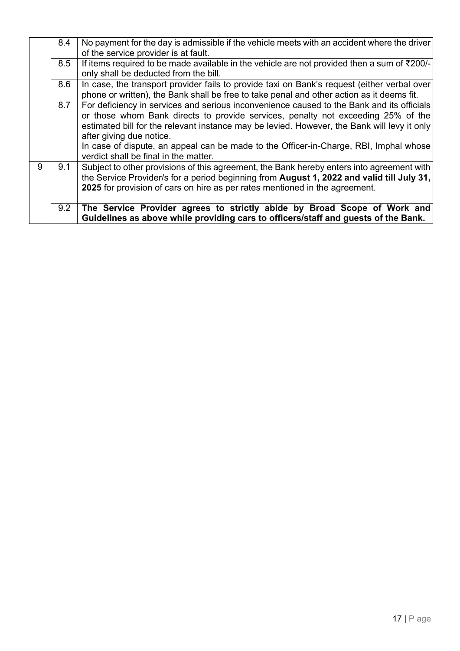|   | 8.4 | No payment for the day is admissible if the vehicle meets with an accident where the driver |
|---|-----|---------------------------------------------------------------------------------------------|
|   |     | of the service provider is at fault.                                                        |
|   | 8.5 | If items required to be made available in the vehicle are not provided then a sum of ₹200/- |
|   |     | only shall be deducted from the bill.                                                       |
|   | 8.6 | In case, the transport provider fails to provide taxi on Bank's request (either verbal over |
|   |     | phone or written), the Bank shall be free to take penal and other action as it deems fit.   |
|   | 8.7 | For deficiency in services and serious inconvenience caused to the Bank and its officials   |
|   |     | or those whom Bank directs to provide services, penalty not exceeding 25% of the            |
|   |     | estimated bill for the relevant instance may be levied. However, the Bank will levy it only |
|   |     | after giving due notice.                                                                    |
|   |     | In case of dispute, an appeal can be made to the Officer-in-Charge, RBI, Imphal whose       |
|   |     | verdict shall be final in the matter.                                                       |
| 9 | 9.1 | Subject to other provisions of this agreement, the Bank hereby enters into agreement with   |
|   |     | the Service Provider/s for a period beginning from August 1, 2022 and valid till July 31,   |
|   |     | 2025 for provision of cars on hire as per rates mentioned in the agreement.                 |
|   |     |                                                                                             |
|   | 9.2 | The Service Provider agrees to strictly abide by Broad Scope of Work and                    |
|   |     | Guidelines as above while providing cars to officers/staff and guests of the Bank.          |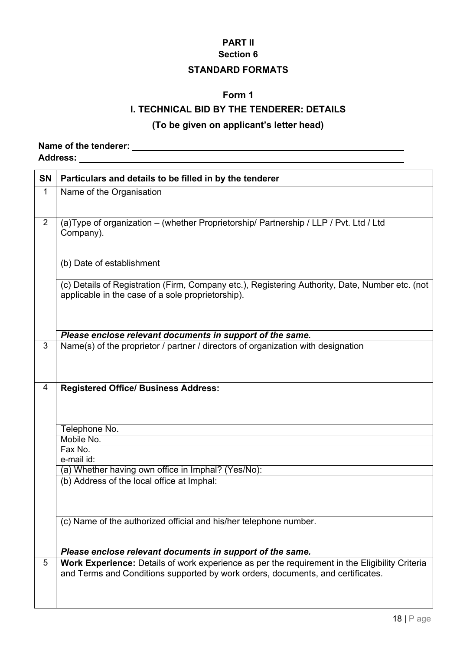### **Section 6**

### **STANDARD FORMATS**

### **Form 1**

### **I. TECHNICAL BID BY THE TENDERER: DETAILS**

### **(To be given on applicant's letter head)**

### **Name of the tenderer: Address:**

| <b>SN</b>      | Particulars and details to be filled in by the tenderer                                                                                                                           |
|----------------|-----------------------------------------------------------------------------------------------------------------------------------------------------------------------------------|
| 1              | Name of the Organisation                                                                                                                                                          |
| $\overline{2}$ | (a) Type of organization - (whether Proprietorship/ Partnership / LLP / Pvt. Ltd / Ltd<br>Company).                                                                               |
|                | (b) Date of establishment                                                                                                                                                         |
|                | (c) Details of Registration (Firm, Company etc.), Registering Authority, Date, Number etc. (not<br>applicable in the case of a sole proprietorship).                              |
|                | Please enclose relevant documents in support of the same.                                                                                                                         |
| 3              | Name(s) of the proprietor / partner / directors of organization with designation                                                                                                  |
| 4              | <b>Registered Office/ Business Address:</b>                                                                                                                                       |
|                | Telephone No.                                                                                                                                                                     |
|                | Mobile No.<br>Fax No.                                                                                                                                                             |
|                | e-mail id:                                                                                                                                                                        |
|                | (a) Whether having own office in Imphal? (Yes/No):                                                                                                                                |
|                | (b) Address of the local office at Imphal:                                                                                                                                        |
|                | (c) Name of the authorized official and his/her telephone number.                                                                                                                 |
|                | Please enclose relevant documents in support of the same.                                                                                                                         |
| 5              | Work Experience: Details of work experience as per the requirement in the Eligibility Criteria<br>and Terms and Conditions supported by work orders, documents, and certificates. |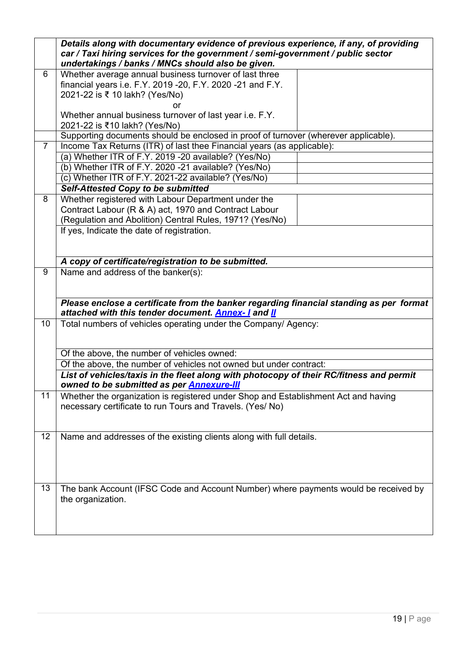|                | Details along with documentary evidence of previous experience, if any, of providing<br>car / Taxi hiring services for the government / semi-government / public sector<br>undertakings / banks / MNCs should also be given. |
|----------------|------------------------------------------------------------------------------------------------------------------------------------------------------------------------------------------------------------------------------|
| 6              | Whether average annual business turnover of last three<br>financial years i.e. F.Y. 2019 -20, F.Y. 2020 -21 and F.Y.<br>2021-22 is ₹ 10 lakh? (Yes/No)                                                                       |
|                | Whether annual business turnover of last year i.e. F.Y.<br>2021-22 is ₹10 lakh? (Yes/No)                                                                                                                                     |
|                | Supporting documents should be enclosed in proof of turnover (wherever applicable).                                                                                                                                          |
| $\overline{7}$ | Income Tax Returns (ITR) of last thee Financial years (as applicable):                                                                                                                                                       |
|                | (a) Whether ITR of F.Y. 2019 -20 available? (Yes/No)                                                                                                                                                                         |
|                | (b) Whether ITR of F.Y. 2020 -21 available? (Yes/No)                                                                                                                                                                         |
|                | (c) Whether ITR of F.Y. 2021-22 available? (Yes/No)                                                                                                                                                                          |
|                | <b>Self-Attested Copy to be submitted</b>                                                                                                                                                                                    |
| 8              | Whether registered with Labour Department under the                                                                                                                                                                          |
|                | Contract Labour (R & A) act, 1970 and Contract Labour<br>(Regulation and Abolition) Central Rules, 1971? (Yes/No)                                                                                                            |
|                | If yes, Indicate the date of registration.                                                                                                                                                                                   |
|                |                                                                                                                                                                                                                              |
|                | A copy of certificate/registration to be submitted.                                                                                                                                                                          |
| $\overline{9}$ | Name and address of the banker(s):                                                                                                                                                                                           |
|                | Please enclose a certificate from the banker regarding financial standing as per format<br>attached with this tender document. Annex-1 and II                                                                                |
| 10             | Total numbers of vehicles operating under the Company/ Agency:                                                                                                                                                               |
|                | Of the above, the number of vehicles owned:                                                                                                                                                                                  |
|                | Of the above, the number of vehicles not owned but under contract:                                                                                                                                                           |
|                | List of vehicles/taxis in the fleet along with photocopy of their RC/fitness and permit<br>owned to be submitted as per <b>Annexure-III</b>                                                                                  |
| 11             | Whether the organization is registered under Shop and Establishment Act and having                                                                                                                                           |
|                | necessary certificate to run Tours and Travels. (Yes/No)                                                                                                                                                                     |
| 12             | Name and addresses of the existing clients along with full details.                                                                                                                                                          |
| 13             | The bank Account (IFSC Code and Account Number) where payments would be received by<br>the organization.                                                                                                                     |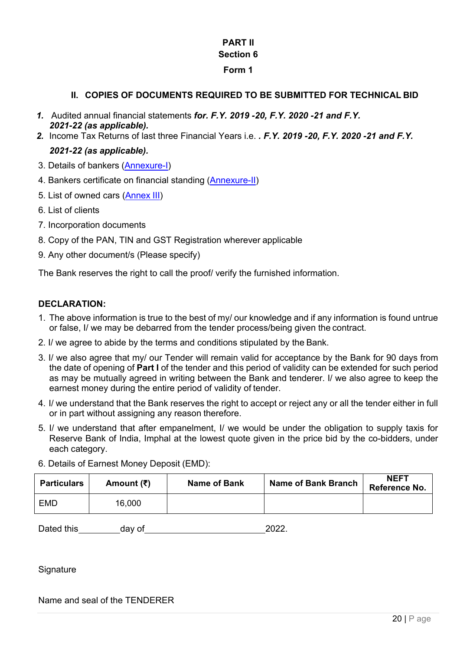### **Section 6**

#### **Form 1**

### **II. COPIES OF DOCUMENTS REQUIRED TO BE SUBMITTED FOR TECHNICAL BID**

- *1.* Audited annual financial statements *for. F.Y. 2019 -20, F.Y. 2020 -21 and F.Y. 2021-22 (as applicable).*
- *2.* Income Tax Returns of last three Financial Years i.e. *. F.Y. 2019 -20, F.Y. 2020 -21 and F.Y.*

### *2021-22 (as applicable).*

- 3. Details of bankers [\(Annexure-I\)](#page-23-0)
- 4. Bankers certificate on financial standing [\(Annexure-II\)](#page-24-0)
- 5. List of owned cars [\(Annex](#page-25-0) III)
- 6. List of clients
- 7. Incorporation documents
- 8. Copy of the PAN, TIN and GST Registration wherever applicable
- 9. Any other document/s (Please specify)

The Bank reserves the right to call the proof/ verify the furnished information.

### **DECLARATION:**

- 1. The above information is true to the best of my/ our knowledge and if any information is found untrue or false, I/ we may be debarred from the tender process/being given the contract.
- 2. I/ we agree to abide by the terms and conditions stipulated by the Bank.
- 3. I/ we also agree that my/ our Tender will remain valid for acceptance by the Bank for 90 days from the date of opening of **Part I** of the tender and this period of validity can be extended for such period as may be mutually agreed in writing between the Bank and tenderer. I/ we also agree to keep the earnest money during the entire period of validity of tender.
- 4. I/ we understand that the Bank reserves the right to accept or reject any or all the tender either in full or in part without assigning any reason therefore.
- 5. I/ we understand that after empanelment, I/ we would be under the obligation to supply taxis for Reserve Bank of India, Imphal at the lowest quote given in the price bid by the co-bidders, under each category.

| <b>Particulars</b> | Amount $(₹)$ | <b>Name of Bank</b> | <b>Name of Bank Branch</b> | <b>NEFT</b><br>Reference No. |
|--------------------|--------------|---------------------|----------------------------|------------------------------|
| EMD                | 16,000       |                     |                            |                              |

6. Details of Earnest Money Deposit (EMD):

Dated this day of 2022.

**Signature** 

Name and seal of the TENDERER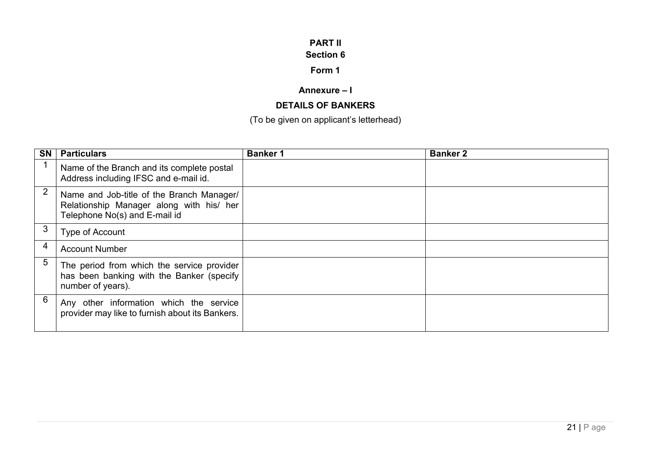#### **Section 6**

### **Form 1**

### **Annexure – I**

### **DETAILS OF BANKERS**

### <span id="page-23-0"></span>(To be given on applicant's letterhead)

| <b>SN</b>      | <b>Particulars</b>                                                                                                     | <b>Banker 1</b> | <b>Banker 2</b> |
|----------------|------------------------------------------------------------------------------------------------------------------------|-----------------|-----------------|
|                | Name of the Branch and its complete postal<br>Address including IFSC and e-mail id.                                    |                 |                 |
| $\overline{2}$ | Name and Job-title of the Branch Manager/<br>Relationship Manager along with his/ her<br>Telephone No(s) and E-mail id |                 |                 |
| 3              | Type of Account                                                                                                        |                 |                 |
| 4              | <b>Account Number</b>                                                                                                  |                 |                 |
| 5              | The period from which the service provider<br>has been banking with the Banker (specify<br>number of years).           |                 |                 |
| 6              | Any other information which the service<br>provider may like to furnish about its Bankers.                             |                 |                 |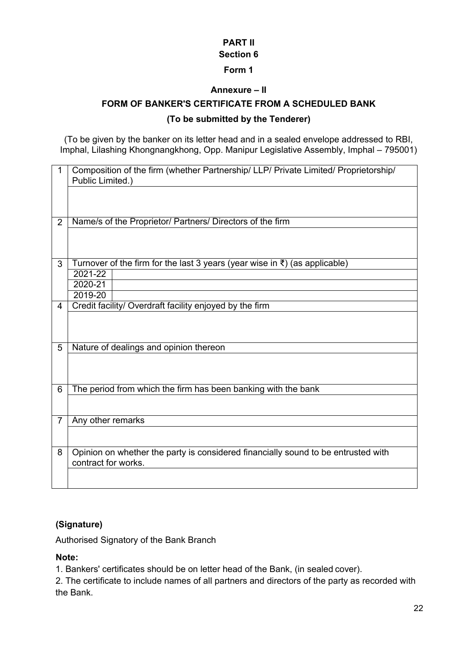## **Section 6**

### **Form 1**

### **Annexure – II**

### <span id="page-24-0"></span>**FORM OF BANKER'S CERTIFICATE FROM A SCHEDULED BANK**

### **(To be submitted by the Tenderer)**

(To be given by the banker on its letter head and in a sealed envelope addressed to RBI, Imphal, Lilashing Khongnangkhong, Opp. Manipur Legislative Assembly, Imphal – 795001)

| 1              | Composition of the firm (whether Partnership/ LLP/ Private Limited/ Proprietorship/<br>Public Limited.) |
|----------------|---------------------------------------------------------------------------------------------------------|
| $\overline{2}$ | Name/s of the Proprietor/ Partners/ Directors of the firm                                               |
|                |                                                                                                         |
| 3              | Turnover of the firm for the last 3 years (year wise in $\bar{\tau}$ ) (as applicable)                  |
|                | 2021-22<br>2020-21                                                                                      |
|                | 2019-20                                                                                                 |
| 4              | Credit facility/ Overdraft facility enjoyed by the firm                                                 |
|                |                                                                                                         |
| 5              | Nature of dealings and opinion thereon                                                                  |
|                |                                                                                                         |
| 6              | The period from which the firm has been banking with the bank                                           |
|                |                                                                                                         |
| $\overline{7}$ | Any other remarks                                                                                       |
|                |                                                                                                         |
| 8              | Opinion on whether the party is considered financially sound to be entrusted with                       |
|                | contract for works.                                                                                     |
|                |                                                                                                         |

### **(Signature)**

Authorised Signatory of the Bank Branch

### **Note:**

1. Bankers' certificates should be on letter head of the Bank, (in sealed cover).

2. The certificate to include names of all partners and directors of the party as recorded with the Bank.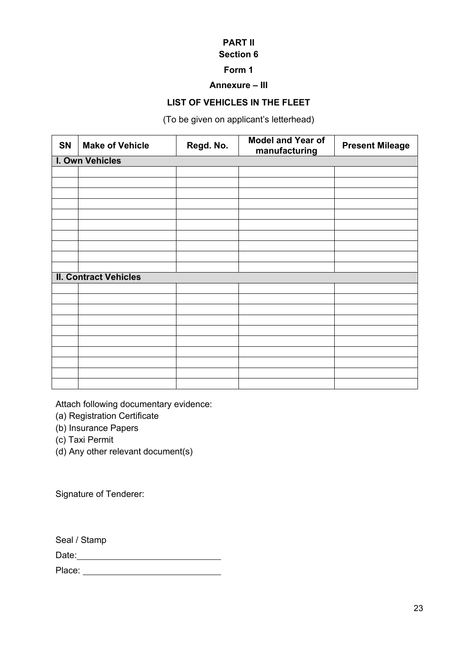# **Section 6**

### **Form 1**

#### **Annexure – III**

### **LIST OF VEHICLES IN THE FLEET**

(To be given on applicant's letterhead)

<span id="page-25-0"></span>

| <b>SN</b> | <b>Make of Vehicle</b>       | Regd. No. | <b>Model and Year of</b><br>manufacturing | <b>Present Mileage</b> |
|-----------|------------------------------|-----------|-------------------------------------------|------------------------|
|           | I. Own Vehicles              |           |                                           |                        |
|           |                              |           |                                           |                        |
|           |                              |           |                                           |                        |
|           |                              |           |                                           |                        |
|           |                              |           |                                           |                        |
|           |                              |           |                                           |                        |
|           |                              |           |                                           |                        |
|           |                              |           |                                           |                        |
|           |                              |           |                                           |                        |
|           |                              |           |                                           |                        |
|           |                              |           |                                           |                        |
|           | <b>II. Contract Vehicles</b> |           |                                           |                        |
|           |                              |           |                                           |                        |
|           |                              |           |                                           |                        |
|           |                              |           |                                           |                        |
|           |                              |           |                                           |                        |
|           |                              |           |                                           |                        |
|           |                              |           |                                           |                        |
|           |                              |           |                                           |                        |
|           |                              |           |                                           |                        |
|           |                              |           |                                           |                        |
|           |                              |           |                                           |                        |

Attach following documentary evidence:

- (a) Registration Certificate
- (b) Insurance Papers
- (c) Taxi Permit
- (d) Any other relevant document(s)

Signature of Tenderer:

Seal / Stamp

Date:

Place: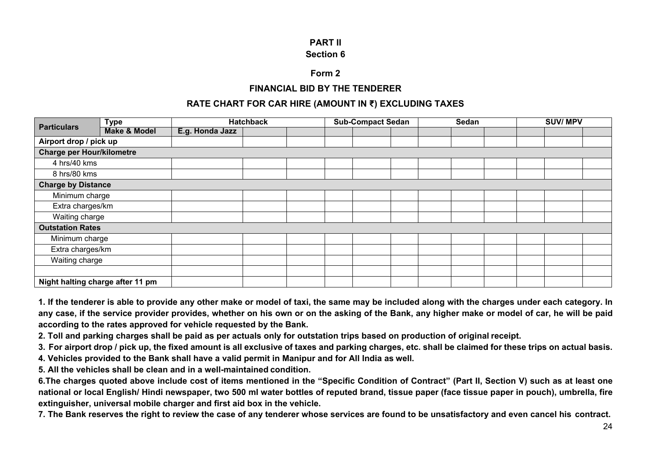#### **PART II Section 6**

#### **Form 2**

#### **FINANCIAL BID BY THE TENDERER**

#### **RATE CHART FOR CAR HIRE (AMOUNT IN ₹) EXCLUDING TAXES**

| <b>Particulars</b>               | <b>Type</b>                      |                 | <b>Hatchback</b> |  | <b>Sub-Compact Sedan</b> |  | <b>Sedan</b> |  | <b>SUV/MPV</b> |  |  |  |
|----------------------------------|----------------------------------|-----------------|------------------|--|--------------------------|--|--------------|--|----------------|--|--|--|
|                                  | <b>Make &amp; Model</b>          | E.g. Honda Jazz |                  |  |                          |  |              |  |                |  |  |  |
| Airport drop / pick up           |                                  |                 |                  |  |                          |  |              |  |                |  |  |  |
| <b>Charge per Hour/kilometre</b> |                                  |                 |                  |  |                          |  |              |  |                |  |  |  |
| 4 hrs/40 kms                     |                                  |                 |                  |  |                          |  |              |  |                |  |  |  |
| 8 hrs/80 kms                     |                                  |                 |                  |  |                          |  |              |  |                |  |  |  |
| <b>Charge by Distance</b>        |                                  |                 |                  |  |                          |  |              |  |                |  |  |  |
| Minimum charge                   |                                  |                 |                  |  |                          |  |              |  |                |  |  |  |
| Extra charges/km                 |                                  |                 |                  |  |                          |  |              |  |                |  |  |  |
| Waiting charge                   |                                  |                 |                  |  |                          |  |              |  |                |  |  |  |
| <b>Outstation Rates</b>          |                                  |                 |                  |  |                          |  |              |  |                |  |  |  |
| Minimum charge                   |                                  |                 |                  |  |                          |  |              |  |                |  |  |  |
| Extra charges/km                 |                                  |                 |                  |  |                          |  |              |  |                |  |  |  |
| Waiting charge                   |                                  |                 |                  |  |                          |  |              |  |                |  |  |  |
|                                  |                                  |                 |                  |  |                          |  |              |  |                |  |  |  |
|                                  | Night halting charge after 11 pm |                 |                  |  |                          |  |              |  |                |  |  |  |

**1. If the tenderer is able to provide any other make or model of taxi, the same may be included along with the charges under each category. In any case, if the service provider provides, whether on his own or on the asking of the Bank, any higher make or model of car, he will be paid according to the rates approved for vehicle requested by the Bank.**

**2. Toll and parking charges shall be paid as per actuals only for outstation trips based on production of original receipt.**

**3. For airport drop / pick up, the fixed amount is all exclusive of taxes and parking charges, etc. shall be claimed for these trips on actual basis.**

**4. Vehicles provided to the Bank shall have a valid permit in Manipur and for All India as well.**

**5. All the vehicles shall be clean and in a well-maintained condition.**

**6.The charges quoted above include cost of items mentioned in the "Specific Condition of Contract" (Part II, Section V) such as at least one national or local English/ Hindi newspaper, two 500 ml water bottles of reputed brand, tissue paper (face tissue paper in pouch), umbrella, fire extinguisher, universal mobile charger and first aid box in the vehicle.**

**7. The Bank reserves the right to review the case of any tenderer whose services are found to be unsatisfactory and even cancel his contract.**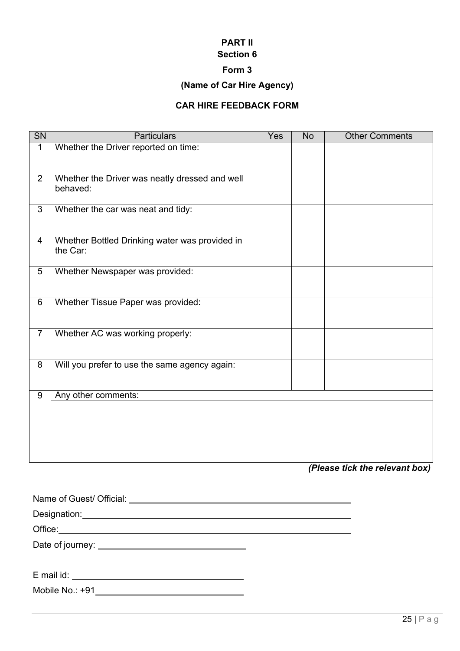# **Section 6**

### **Form 3**

### **(Name of Car Hire Agency)**

### **CAR HIRE FEEDBACK FORM**

| $\overline{\text{SN}}$ | <b>Particulars</b>                                         | Yes | <b>No</b>      | <b>Other Comments</b> |
|------------------------|------------------------------------------------------------|-----|----------------|-----------------------|
| $\mathbf{1}$           | Whether the Driver reported on time:                       |     |                |                       |
| $\overline{2}$         | Whether the Driver was neatly dressed and well<br>behaved: |     |                |                       |
| $\overline{3}$         | Whether the car was neat and tidy:                         |     |                |                       |
| 4                      | Whether Bottled Drinking water was provided in<br>the Car: |     |                |                       |
| $5\phantom{.0}$        | Whether Newspaper was provided:                            |     |                |                       |
| 6                      | Whether Tissue Paper was provided:                         |     |                |                       |
| $\overline{7}$         | Whether AC was working properly:                           |     |                |                       |
| 8                      | Will you prefer to use the same agency again:              |     |                |                       |
| 9                      | Any other comments:                                        |     |                |                       |
|                        |                                                            |     | m <sub>1</sub> | 42 - 11 - 41 -        |

*(Please tick the relevant box)*

| E mail id: the state of the state of the state of the state of the state of the state of the state of the state of the state of the state of the state of the state of the state of the state of the state of the state of the |  |  |  |
|--------------------------------------------------------------------------------------------------------------------------------------------------------------------------------------------------------------------------------|--|--|--|
| Mobile No.: +91                                                                                                                                                                                                                |  |  |  |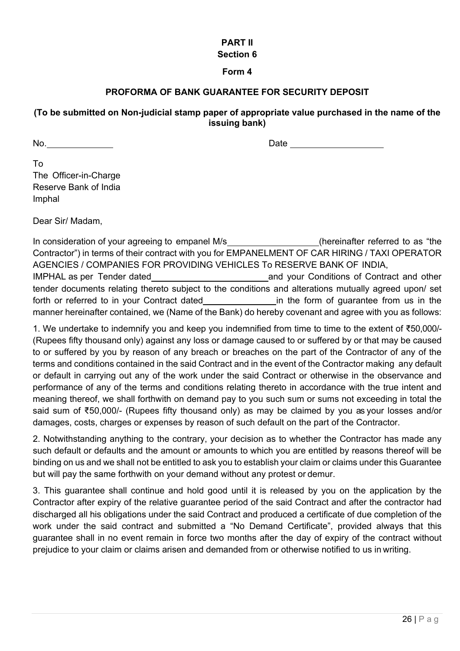#### **Section 6**

#### **Form 4**

### **PROFORMA OF BANK GUARANTEE FOR SECURITY DEPOSIT**

#### **(To be submitted on Non-judicial stamp paper of appropriate value purchased in the name of the issuing bank)**

No. No. 2008 Date Contract Contract Contract Contract Contract Contract Contract Contract Contract Contract Contract Contract Contract Contract Contract Contract Contract Contract Contract Contract Contract Contract Contra

To The Officer-in-Charge Reserve Bank of India Imphal

Dear Sir/ Madam,

In consideration of your agreeing to empanel M/s\_\_\_\_\_\_\_\_\_\_\_\_\_\_\_\_(hereinafter referred to as "the Contractor") in terms of their contract with you for EMPANELMENT OF CAR HIRING / TAXI OPERATOR AGENCIES / COMPANIES FOR PROVIDING VEHICLES To RESERVE BANK OF INDIA, IMPHAL as per Tender dated and your Conditions of Contract and other tender documents relating thereto subject to the conditions and alterations mutually agreed upon/ set forth or referred to in your Contract dated in the form of guarantee from us in the manner hereinafter contained, we (Name of the Bank) do hereby covenant and agree with you as follows:

1. We undertake to indemnify you and keep you indemnified from time to time to the extent of ₹50,000/- (Rupees fifty thousand only) against any loss or damage caused to or suffered by or that may be caused to or suffered by you by reason of any breach or breaches on the part of the Contractor of any of the terms and conditions contained in the said Contract and in the event of the Contractor making any default or default in carrying out any of the work under the said Contract or otherwise in the observance and performance of any of the terms and conditions relating thereto in accordance with the true intent and meaning thereof, we shall forthwith on demand pay to you such sum or sums not exceeding in total the said sum of ₹50,000/- (Rupees fifty thousand only) as may be claimed by you as your losses and/or damages, costs, charges or expenses by reason of such default on the part of the Contractor.

2. Notwithstanding anything to the contrary, your decision as to whether the Contractor has made any such default or defaults and the amount or amounts to which you are entitled by reasons thereof will be binding on us and we shall not be entitled to ask you to establish your claim or claims under this Guarantee but will pay the same forthwith on your demand without any protest or demur.

3. This guarantee shall continue and hold good until it is released by you on the application by the Contractor after expiry of the relative guarantee period of the said Contract and after the contractor had discharged all his obligations under the said Contract and produced a certificate of due completion of the work under the said contract and submitted a "No Demand Certificate", provided always that this guarantee shall in no event remain in force two months after the day of expiry of the contract without prejudice to your claim or claims arisen and demanded from or otherwise notified to us in writing.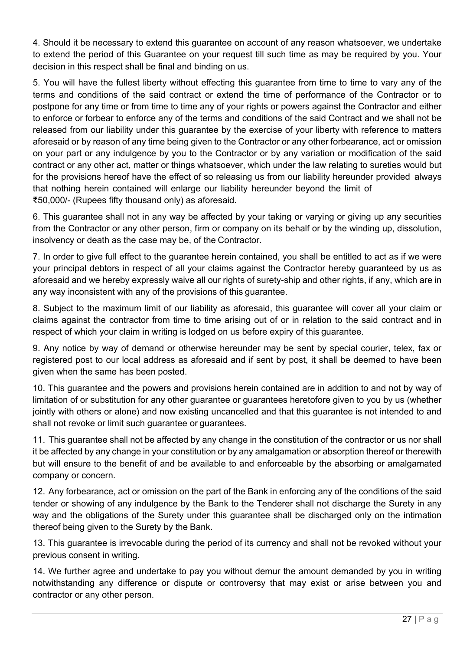4. Should it be necessary to extend this guarantee on account of any reason whatsoever, we undertake to extend the period of this Guarantee on your request till such time as may be required by you. Your decision in this respect shall be final and binding on us.

5. You will have the fullest liberty without effecting this guarantee from time to time to vary any of the terms and conditions of the said contract or extend the time of performance of the Contractor or to postpone for any time or from time to time any of your rights or powers against the Contractor and either to enforce or forbear to enforce any of the terms and conditions of the said Contract and we shall not be released from our liability under this guarantee by the exercise of your liberty with reference to matters aforesaid or by reason of any time being given to the Contractor or any other forbearance, act or omission on your part or any indulgence by you to the Contractor or by any variation or modification of the said contract or any other act, matter or things whatsoever, which under the law relating to sureties would but for the provisions hereof have the effect of so releasing us from our liability hereunder provided always that nothing herein contained will enlarge our liability hereunder beyond the limit of ₹50,000/- (Rupees fifty thousand only) as aforesaid.

6. This guarantee shall not in any way be affected by your taking or varying or giving up any securities from the Contractor or any other person, firm or company on its behalf or by the winding up, dissolution, insolvency or death as the case may be, of the Contractor.

7. In order to give full effect to the guarantee herein contained, you shall be entitled to act as if we were your principal debtors in respect of all your claims against the Contractor hereby guaranteed by us as aforesaid and we hereby expressly waive all our rights of surety-ship and other rights, if any, which are in any way inconsistent with any of the provisions of this guarantee.

8. Subject to the maximum limit of our liability as aforesaid, this guarantee will cover all your claim or claims against the contractor from time to time arising out of or in relation to the said contract and in respect of which your claim in writing is lodged on us before expiry of this guarantee.

9. Any notice by way of demand or otherwise hereunder may be sent by special courier, telex, fax or registered post to our local address as aforesaid and if sent by post, it shall be deemed to have been given when the same has been posted.

10. This guarantee and the powers and provisions herein contained are in addition to and not by way of limitation of or substitution for any other guarantee or guarantees heretofore given to you by us (whether jointly with others or alone) and now existing uncancelled and that this guarantee is not intended to and shall not revoke or limit such guarantee or guarantees.

11. This guarantee shall not be affected by any change in the constitution of the contractor or us nor shall it be affected by any change in your constitution or by any amalgamation or absorption thereof or therewith but will ensure to the benefit of and be available to and enforceable by the absorbing or amalgamated company or concern.

12. Any forbearance, act or omission on the part of the Bank in enforcing any of the conditions of the said tender or showing of any indulgence by the Bank to the Tenderer shall not discharge the Surety in any way and the obligations of the Surety under this guarantee shall be discharged only on the intimation thereof being given to the Surety by the Bank.

13. This guarantee is irrevocable during the period of its currency and shall not be revoked without your previous consent in writing.

14. We further agree and undertake to pay you without demur the amount demanded by you in writing notwithstanding any difference or dispute or controversy that may exist or arise between you and contractor or any other person.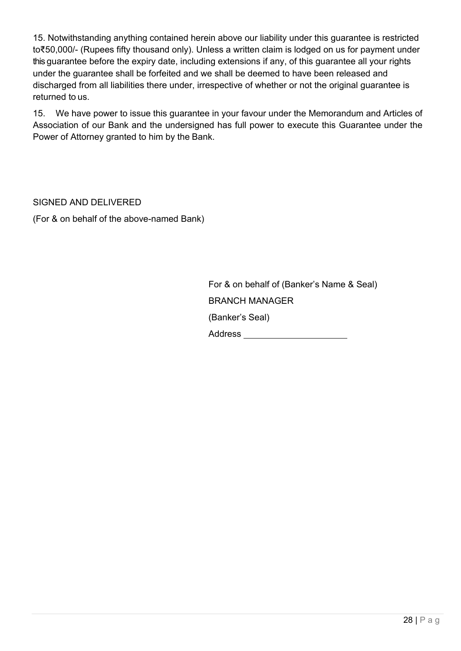15. Notwithstanding anything contained herein above our liability under this guarantee is restricted to₹50,000/- (Rupees fifty thousand only). Unless a written claim is lodged on us for payment under this guarantee before the expiry date, including extensions if any, of this guarantee all your rights under the guarantee shall be forfeited and we shall be deemed to have been released and discharged from all liabilities there under, irrespective of whether or not the original guarantee is returned to us.

15. We have power to issue this guarantee in your favour under the Memorandum and Articles of Association of our Bank and the undersigned has full power to execute this Guarantee under the Power of Attorney granted to him by the Bank.

SIGNED AND DELIVERED (For & on behalf of the above-named Bank)

> For & on behalf of (Banker's Name & Seal) BRANCH MANAGER (Banker's Seal) Address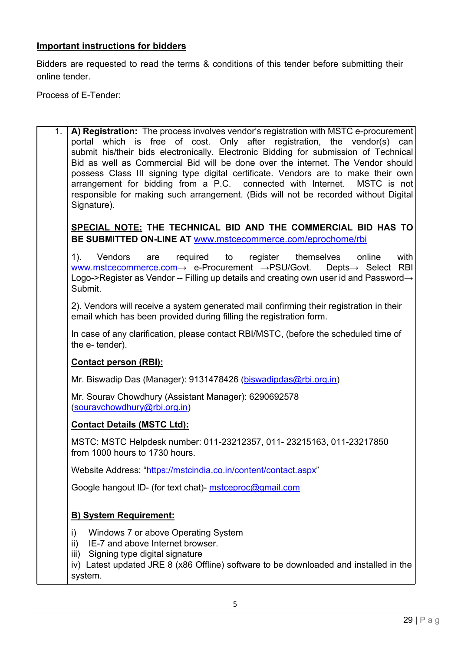### **Important instructions for bidders**

Bidders are requested to read the terms & conditions of this tender before submitting their online tender.

Process of E-Tender:

1. **A) Registration:** The process involves vendor's registration with MSTC e-procurement portal which is free of cost. Only after registration, the vendor(s) can submit his/their bids electronically. Electronic Bidding for submission of Technical Bid as well as Commercial Bid will be done over the internet. The Vendor should possess Class III signing type digital certificate. Vendors are to make their own arrangement for bidding from a P.C. connected with Internet. MSTC is not responsible for making such arrangement. (Bids will not be recorded without Digital Signature).

**SPECIAL NOTE: THE TECHNICAL BID AND THE COMMERCIAL BID HAS TO BE SUBMITTED ON-LINE AT** [www.mstcecommerce.com/eprochome/rbi](https://www.mstcecommerce.com/eprochome/rbi)

1). Vendors are required to register themselves online with [www.mstcecommerce.com](https://www.mstcecommerce.com/)→ e-Procurement →PSU/Govt. Depts→ Select RBI Logo->Register as Vendor -- Filling up details and creating own user id and Password→ Submit.

2). Vendors will receive a system generated mail confirming their registration in their email which has been provided during filling the registration form.

In case of any clarification, please contact RBI/MSTC, (before the scheduled time of the e- tender).

#### **Contact person (RBI):**

Mr. Biswadip Das (Manager): 9131478426 [\(biswadipdas@rbi.org.in\)](mailto:biswadipdas@rbi.org.in)

Mr. Sourav Chowdhury (Assistant Manager): 6290692578 [\(souravchowdhury@rbi.org.in\)](mailto:souravchowdhury@rbi.org.in)

#### **Contact Details (MSTC Ltd):**

MSTC: MSTC Helpdesk number: 011-23212357, 011- 23215163, 011-23217850 from 1000 hours to 1730 hours.

Website Address: ["https://mstcindia.co.in/content/contact.aspx"](https://mstcindia.co.in/content/contact.aspx)

Google hangout ID- (for text chat)- [mstceproc@gmail.com](mailto:mstceproc@gmail.com)

### **B) System Requirement:**

- i) Windows 7 or above Operating System
- ii) IE-7 and above Internet browser.
- iii) Signing type digital signature

iv) Latest updated JRE 8 (x86 Offline) software to be downloaded and installed in the system.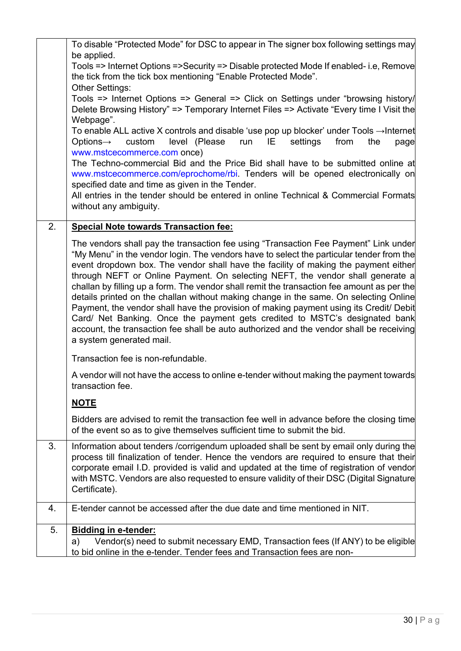|    | To disable "Protected Mode" for DSC to appear in The signer box following settings may                                                                                                                               |
|----|----------------------------------------------------------------------------------------------------------------------------------------------------------------------------------------------------------------------|
|    | be applied.<br>Tools => Internet Options =>Security => Disable protected Mode If enabled- i.e, Remove                                                                                                                |
|    | the tick from the tick box mentioning "Enable Protected Mode".                                                                                                                                                       |
|    | <b>Other Settings:</b>                                                                                                                                                                                               |
|    | Tools => Internet Options => General => Click on Settings under "browsing history/                                                                                                                                   |
|    | Delete Browsing History" => Temporary Internet Files => Activate "Every time I Visit the                                                                                                                             |
|    | Webpage".<br>To enable ALL active X controls and disable 'use pop up blocker' under Tools $\rightarrow$ Internet<br>level (Please<br>Options $\rightarrow$<br>custom<br>IE<br>settings<br>from<br>run<br>the<br>page |
|    | www.mstcecommerce.com once)                                                                                                                                                                                          |
|    | The Techno-commercial Bid and the Price Bid shall have to be submitted online at<br>www.mstcecommerce.com/eprochome/rbi. Tenders will be opened electronically on<br>specified date and time as given in the Tender. |
|    | All entries in the tender should be entered in online Technical & Commercial Formats<br>without any ambiguity.                                                                                                       |
|    |                                                                                                                                                                                                                      |
| 2. | <b>Special Note towards Transaction fee:</b>                                                                                                                                                                         |
|    | The vendors shall pay the transaction fee using "Transaction Fee Payment" Link under                                                                                                                                 |
|    | "My Menu" in the vendor login. The vendors have to select the particular tender from the<br>event dropdown box. The vendor shall have the facility of making the payment either                                      |
|    | through NEFT or Online Payment. On selecting NEFT, the vendor shall generate a                                                                                                                                       |
|    | challan by filling up a form. The vendor shall remit the transaction fee amount as per the                                                                                                                           |
|    | details printed on the challan without making change in the same. On selecting Online                                                                                                                                |
|    | Payment, the vendor shall have the provision of making payment using its Credit/ Debit<br>Card/ Net Banking. Once the payment gets credited to MSTC's designated bank                                                |
|    | account, the transaction fee shall be auto authorized and the vendor shall be receiving                                                                                                                              |
|    | a system generated mail.                                                                                                                                                                                             |
|    | Transaction fee is non-refundable.                                                                                                                                                                                   |
|    | A vendor will not have the access to online e-tender without making the payment towards                                                                                                                              |
|    | transaction fee.                                                                                                                                                                                                     |
|    | <b>NOTE</b>                                                                                                                                                                                                          |
|    | Bidders are advised to remit the transaction fee well in advance before the closing time                                                                                                                             |
|    | of the event so as to give themselves sufficient time to submit the bid.                                                                                                                                             |
| 3. | Information about tenders / corrigendum uploaded shall be sent by email only during the                                                                                                                              |
|    | process till finalization of tender. Hence the vendors are required to ensure that their                                                                                                                             |
|    | corporate email I.D. provided is valid and updated at the time of registration of vendor                                                                                                                             |
|    | with MSTC. Vendors are also requested to ensure validity of their DSC (Digital Signature<br>Certificate).                                                                                                            |
|    |                                                                                                                                                                                                                      |
| 4. | E-tender cannot be accessed after the due date and time mentioned in NIT.                                                                                                                                            |
| 5. | <b>Bidding in e-tender:</b>                                                                                                                                                                                          |
|    | Vendor(s) need to submit necessary EMD, Transaction fees (If ANY) to be eligible<br>a)                                                                                                                               |
|    | to bid online in the e-tender. Tender fees and Transaction fees are non-                                                                                                                                             |